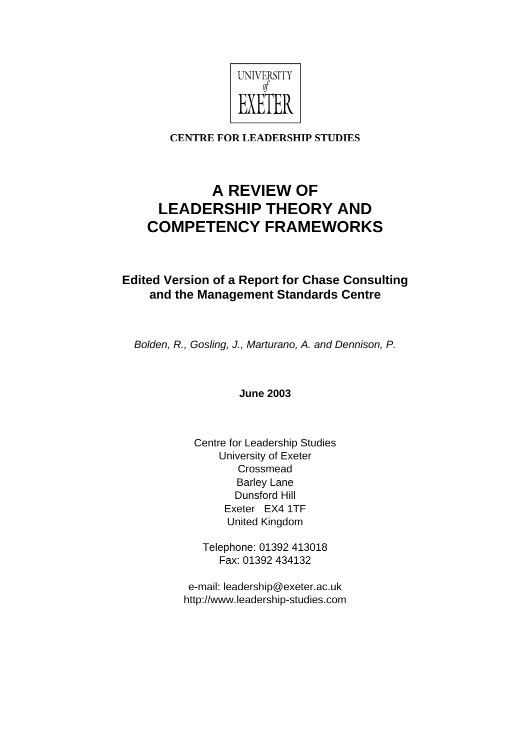

# **CENTRE FOR LEADERSHIP STUDIES**

# **A REVIEW OF LEADERSHIP THEORY AND COMPETENCY FRAMEWORKS**

# **Edited Version of a Report for Chase Consulting and the Management Standards Centre**

*Bolden, R., Gosling, J., Marturano, A. and Dennison, P.* 

**June 2003** 

Centre for Leadership Studies University of Exeter Crossmead Barley Lane Dunsford Hill Exeter EX4 1TF United Kingdom

Telephone: 01392 413018 Fax: 01392 434132

e-mail: leadership@exeter.ac.uk http://www.leadership-studies.com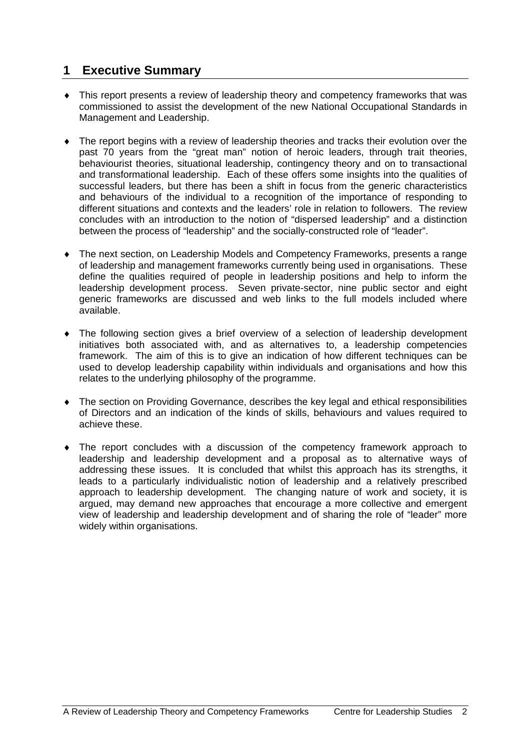# <span id="page-1-0"></span>**1 Executive Summary**

- ♦ This report presents a review of leadership theory and competency frameworks that was commissioned to assist the development of the new National Occupational Standards in Management and Leadership.
- ♦ The report begins with a review of leadership theories and tracks their evolution over the past 70 years from the "great man" notion of heroic leaders, through trait theories, behaviourist theories, situational leadership, contingency theory and on to transactional and transformational leadership. Each of these offers some insights into the qualities of successful leaders, but there has been a shift in focus from the generic characteristics and behaviours of the individual to a recognition of the importance of responding to different situations and contexts and the leaders' role in relation to followers. The review concludes with an introduction to the notion of "dispersed leadership" and a distinction between the process of "leadership" and the socially-constructed role of "leader".
- ♦ The next section, on Leadership Models and Competency Frameworks, presents a range of leadership and management frameworks currently being used in organisations. These define the qualities required of people in leadership positions and help to inform the leadership development process. Seven private-sector, nine public sector and eight generic frameworks are discussed and web links to the full models included where available.
- ♦ The following section gives a brief overview of a selection of leadership development initiatives both associated with, and as alternatives to, a leadership competencies framework. The aim of this is to give an indication of how different techniques can be used to develop leadership capability within individuals and organisations and how this relates to the underlying philosophy of the programme.
- ♦ The section on Providing Governance, describes the key legal and ethical responsibilities of Directors and an indication of the kinds of skills, behaviours and values required to achieve these.
- ♦ The report concludes with a discussion of the competency framework approach to leadership and leadership development and a proposal as to alternative ways of addressing these issues. It is concluded that whilst this approach has its strengths, it leads to a particularly individualistic notion of leadership and a relatively prescribed approach to leadership development. The changing nature of work and society, it is argued, may demand new approaches that encourage a more collective and emergent view of leadership and leadership development and of sharing the role of "leader" more widely within organisations.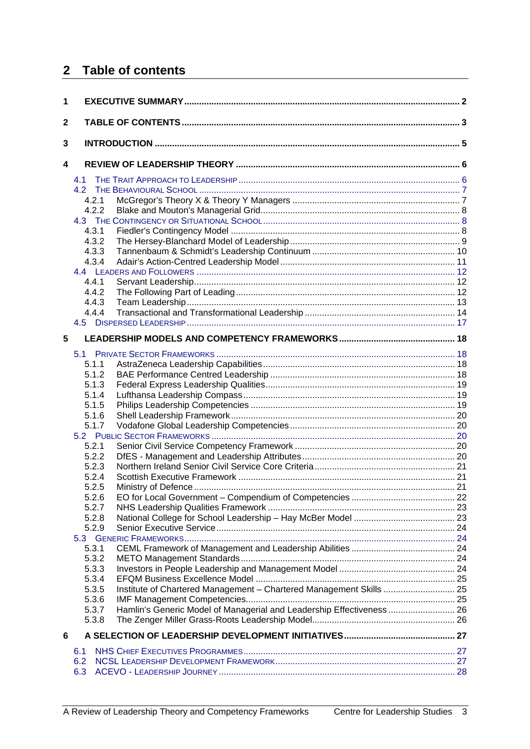# <span id="page-2-0"></span>**2 Table of contents**

| 1            |                |                                                                      |  |
|--------------|----------------|----------------------------------------------------------------------|--|
| $\mathbf{2}$ |                |                                                                      |  |
| 3            |                |                                                                      |  |
| 4            |                |                                                                      |  |
|              | 4.1            |                                                                      |  |
|              | 4.2            |                                                                      |  |
|              | 4.2.1          |                                                                      |  |
|              | 4.2.2          |                                                                      |  |
|              |                |                                                                      |  |
|              | 4.3.1          |                                                                      |  |
|              | 4.3.2          |                                                                      |  |
|              | 4.3.3<br>4.3.4 |                                                                      |  |
|              |                |                                                                      |  |
|              | 4.4.1          |                                                                      |  |
|              | 4.4.2          |                                                                      |  |
|              | 4.4.3          |                                                                      |  |
|              | 4.4.4          |                                                                      |  |
|              |                |                                                                      |  |
| 5            |                |                                                                      |  |
|              | 5.1            |                                                                      |  |
|              | 5.1.1          |                                                                      |  |
|              | 5.1.2          |                                                                      |  |
|              | 5.1.3          |                                                                      |  |
|              | 5.1.4          |                                                                      |  |
|              | 5.1.5          |                                                                      |  |
|              | 5.1.6          |                                                                      |  |
|              | 5.1.7          |                                                                      |  |
|              |                |                                                                      |  |
|              | 5.2.1          |                                                                      |  |
|              | 5.2.2<br>5.2.3 |                                                                      |  |
|              | 5.2.4          |                                                                      |  |
|              | 5.2.5          |                                                                      |  |
|              | 5.2.6          |                                                                      |  |
|              | 5.2.7          |                                                                      |  |
|              | 5.2.8          |                                                                      |  |
|              | 5.2.9          |                                                                      |  |
|              |                |                                                                      |  |
|              | 5.3.1          |                                                                      |  |
|              | 5.3.2          |                                                                      |  |
|              | 5.3.3          |                                                                      |  |
|              | 5.3.4<br>5.3.5 | Institute of Chartered Management - Chartered Management Skills  25  |  |
|              | 5.3.6          |                                                                      |  |
|              | 5.3.7          | Hamlin's Generic Model of Managerial and Leadership Effectiveness 26 |  |
|              | 5.3.8          |                                                                      |  |
| 6            |                |                                                                      |  |
|              |                |                                                                      |  |
|              | 6.1<br>6.2     |                                                                      |  |
|              | 6.3            |                                                                      |  |
|              |                |                                                                      |  |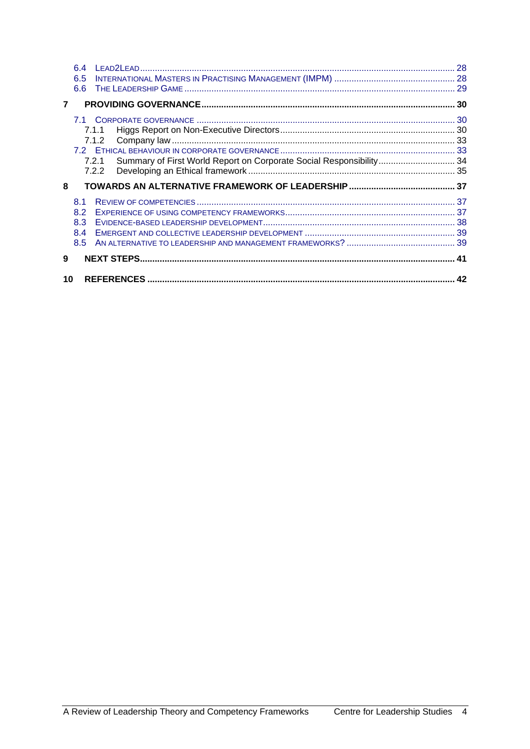|                | 6.4 |                                                                              |  |
|----------------|-----|------------------------------------------------------------------------------|--|
|                | 6.5 |                                                                              |  |
|                | 6.6 |                                                                              |  |
| $\overline{7}$ |     |                                                                              |  |
|                |     |                                                                              |  |
|                |     | 7.1.1                                                                        |  |
|                |     | 7.1.2                                                                        |  |
|                |     |                                                                              |  |
|                |     | Summary of First World Report on Corporate Social Responsibility 34<br>7.2.1 |  |
|                |     | 7.2.2                                                                        |  |
|                |     |                                                                              |  |
| 8              |     |                                                                              |  |
|                | 8.1 |                                                                              |  |
|                | 8.2 |                                                                              |  |
|                | 8.3 |                                                                              |  |
|                | 8.4 |                                                                              |  |
|                | 8.5 |                                                                              |  |
| 9              |     |                                                                              |  |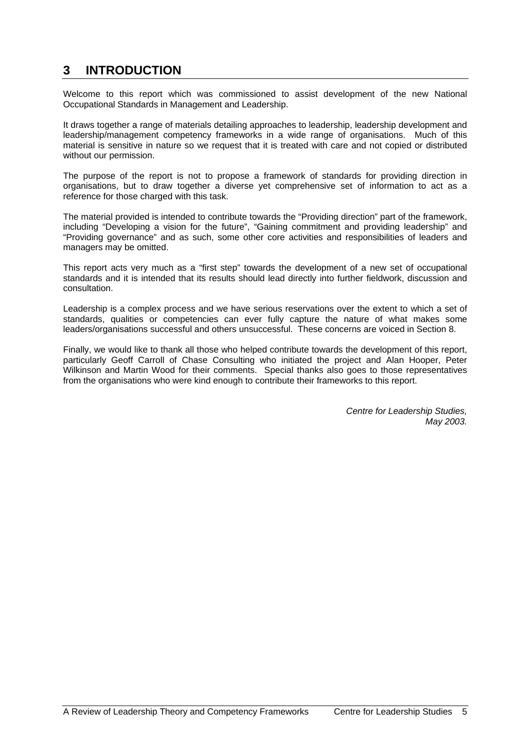# <span id="page-4-0"></span>**3 INTRODUCTION**

Welcome to this report which was commissioned to assist development of the new National Occupational Standards in Management and Leadership.

It draws together a range of materials detailing approaches to leadership, leadership development and leadership/management competency frameworks in a wide range of organisations. Much of this material is sensitive in nature so we request that it is treated with care and not copied or distributed without our permission.

The purpose of the report is not to propose a framework of standards for providing direction in organisations, but to draw together a diverse yet comprehensive set of information to act as a reference for those charged with this task.

The material provided is intended to contribute towards the "Providing direction" part of the framework, including "Developing a vision for the future", "Gaining commitment and providing leadership" and "Providing governance" and as such, some other core activities and responsibilities of leaders and managers may be omitted.

This report acts very much as a "first step" towards the development of a new set of occupational standards and it is intended that its results should lead directly into further fieldwork, discussion and consultation.

Leadership is a complex process and we have serious reservations over the extent to which a set of standards, qualities or competencies can ever fully capture the nature of what makes some leaders/organisations successful and others unsuccessful. These concerns are voiced in Section 8.

Finally, we would like to thank all those who helped contribute towards the development of this report, particularly Geoff Carroll of Chase Consulting who initiated the project and Alan Hooper, Peter Wilkinson and Martin Wood for their comments. Special thanks also goes to those representatives from the organisations who were kind enough to contribute their frameworks to this report.

> *Centre for Leadership Studies, May 2003.*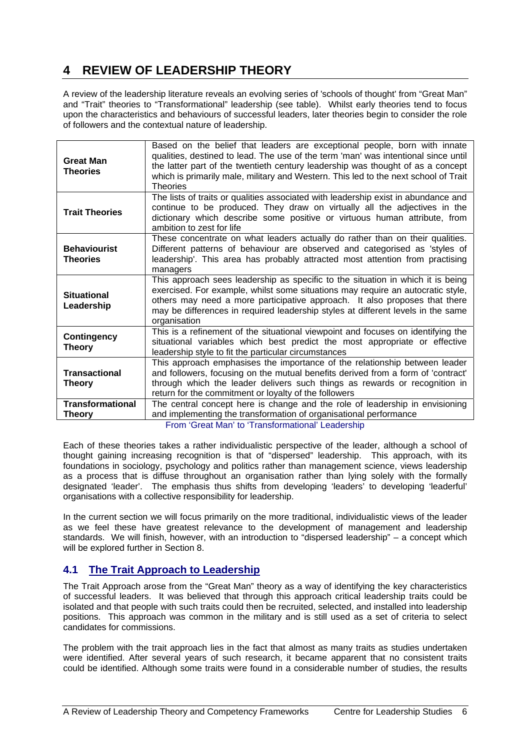# <span id="page-5-0"></span>**4 REVIEW OF LEADERSHIP THEORY**

A review of the leadership literature reveals an evolving series of 'schools of thought' from "Great Man" and "Trait" theories to "Transformational" leadership (see table). Whilst early theories tend to focus upon the characteristics and behaviours of successful leaders, later theories begin to consider the role of followers and the contextual nature of leadership.

| The lists of traits or qualities associated with leadership exist in abundance and                                                                                                                                                                                                                                                                                                       |
|------------------------------------------------------------------------------------------------------------------------------------------------------------------------------------------------------------------------------------------------------------------------------------------------------------------------------------------------------------------------------------------|
| continue to be produced. They draw on virtually all the adjectives in the<br><b>Trait Theories</b><br>dictionary which describe some positive or virtuous human attribute, from<br>ambition to zest for life                                                                                                                                                                             |
| These concentrate on what leaders actually do rather than on their qualities.<br>Different patterns of behaviour are observed and categorised as 'styles of<br><b>Behaviourist</b><br>leadership'. This area has probably attracted most attention from practising<br><b>Theories</b><br>managers                                                                                        |
| This approach sees leadership as specific to the situation in which it is being<br>exercised. For example, whilst some situations may require an autocratic style,<br><b>Situational</b><br>others may need a more participative approach. It also proposes that there<br>Leadership<br>may be differences in required leadership styles at different levels in the same<br>organisation |
| This is a refinement of the situational viewpoint and focuses on identifying the<br><b>Contingency</b><br>situational variables which best predict the most appropriate or effective<br><b>Theory</b><br>leadership style to fit the particular circumstances                                                                                                                            |
| This approach emphasises the importance of the relationship between leader<br>and followers, focusing on the mutual benefits derived from a form of 'contract'<br><b>Transactional</b><br>through which the leader delivers such things as rewards or recognition in<br><b>Theory</b><br>return for the commitment or loyalty of the followers                                           |
| <b>Transformational</b><br>The central concept here is change and the role of leadership in envisioning<br>and implementing the transformation of organisational performance<br>Theory<br>From 'Great Man' to 'Transformational' Leadership                                                                                                                                              |

Each of these theories takes a rather individualistic perspective of the leader, although a school of thought gaining increasing recognition is that of "dispersed" leadership. This approach, with its foundations in sociology, psychology and politics rather than management science, views leadership as a process that is diffuse throughout an organisation rather than lying solely with the formally designated 'leader'. The emphasis thus shifts from developing 'leaders' to developing 'leaderful' organisations with a collective responsibility for leadership.

In the current section we will focus primarily on the more traditional, individualistic views of the leader as we feel these have greatest relevance to the development of management and leadership standards. We will finish, however, with an introduction to "dispersed leadership" – a concept which will be explored further in Section 8.

## **4.1 The Trait Approach to Leadership**

The Trait Approach arose from the "Great Man" theory as a way of identifying the key characteristics of successful leaders. It was believed that through this approach critical leadership traits could be isolated and that people with such traits could then be recruited, selected, and installed into leadership positions. This approach was common in the military and is still used as a set of criteria to select candidates for commissions.

The problem with the trait approach lies in the fact that almost as many traits as studies undertaken were identified. After several years of such research, it became apparent that no consistent traits could be identified. Although some traits were found in a considerable number of studies, the results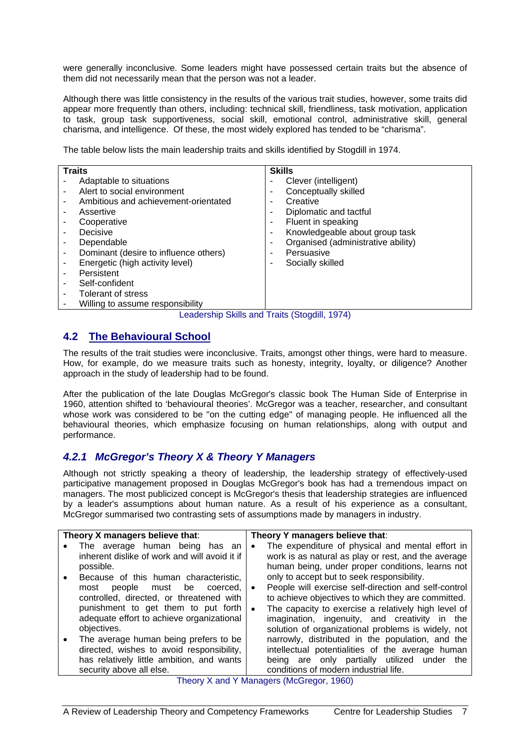<span id="page-6-0"></span>were generally inconclusive. Some leaders might have possessed certain traits but the absence of them did not necessarily mean that the person was not a leader.

Although there was little consistency in the results of the various trait studies, however, some traits did appear more frequently than others, including: technical skill, friendliness, task motivation, application to task, group task supportiveness, social skill, emotional control, administrative skill, general charisma, and intelligence. Of these, the most widely explored has tended to be "charisma".

The table below lists the main leadership traits and skills identified by Stogdill in 1974.

| <b>Traits</b>                                 |                                                                                                                                                                                                                                                                                                                            | <b>Skills</b>                                     |                                                                                                                                                                                                                    |
|-----------------------------------------------|----------------------------------------------------------------------------------------------------------------------------------------------------------------------------------------------------------------------------------------------------------------------------------------------------------------------------|---------------------------------------------------|--------------------------------------------------------------------------------------------------------------------------------------------------------------------------------------------------------------------|
|                                               | Adaptable to situations<br>Alert to social environment<br>Ambitious and achievement-orientated<br>Assertive<br>Cooperative<br>Decisive<br>Dependable<br>Dominant (desire to influence others)<br>Energetic (high activity level)<br>Persistent<br>Self-confident<br>Tolerant of stress<br>Willing to assume responsibility | ٠<br>٠<br>٠<br>۰<br>$\overline{\phantom{0}}$<br>٠ | Clever (intelligent)<br>Conceptually skilled<br>Creative<br>Diplomatic and tactful<br>Fluent in speaking<br>Knowledgeable about group task<br>Organised (administrative ability)<br>Persuasive<br>Socially skilled |
| Leadership Skills and Traits (Stogdill, 1974) |                                                                                                                                                                                                                                                                                                                            |                                                   |                                                                                                                                                                                                                    |

# **4.2 The Behavioural School**

The results of the trait studies were inconclusive. Traits, amongst other things, were hard to measure. How, for example, do we measure traits such as honesty, integrity, loyalty, or diligence? Another approach in the study of leadership had to be found.

After the publication of the late Douglas McGregor's classic book The Human Side of Enterprise in 1960, attention shifted to 'behavioural theories'. McGregor was a teacher, researcher, and consultant whose work was considered to be "on the cutting edge" of managing people. He influenced all the behavioural theories, which emphasize focusing on human relationships, along with output and performance.

## *4.2.1 McGregor's Theory X & Theory Y Managers*

Although not strictly speaking a theory of leadership, the leadership strategy of effectively-used participative management proposed in Douglas McGregor's book has had a tremendous impact on managers. The most publicized concept is McGregor's thesis that leadership strategies are influenced by a leader's assumptions about human nature. As a result of his experience as a consultant, McGregor summarised two contrasting sets of assumptions made by managers in industry.

| Theory X managers believe that:                                                                 | Theory Y managers believe that:                                                                                                                                         |  |  |
|-------------------------------------------------------------------------------------------------|-------------------------------------------------------------------------------------------------------------------------------------------------------------------------|--|--|
| The average human being has an<br>inherent dislike of work and will avoid it if<br>possible.    | The expenditure of physical and mental effort in<br>٠<br>work is as natural as play or rest, and the average<br>human being, under proper conditions, learns not        |  |  |
| Because of this human characteristic,                                                           | only to accept but to seek responsibility.                                                                                                                              |  |  |
| most people must be<br>coerced. I<br>controlled, directed, or threatened with                   | People will exercise self-direction and self-control<br>$\bullet$<br>to achieve objectives to which they are committed.                                                 |  |  |
| punishment to get them to put forth<br>adequate effort to achieve organizational<br>objectives. | The capacity to exercise a relatively high level of<br>$\bullet$<br>imagination, ingenuity, and creativity in the<br>solution of organizational problems is widely, not |  |  |
| The average human being prefers to be                                                           | narrowly, distributed in the population, and the                                                                                                                        |  |  |
| directed, wishes to avoid responsibility,                                                       | intellectual potentialities of the average human                                                                                                                        |  |  |
| has relatively little ambition, and wants<br>security above all else.                           | being are only partially utilized under the<br>conditions of modern industrial life.                                                                                    |  |  |
|                                                                                                 |                                                                                                                                                                         |  |  |

Theory X and Y Managers (McGregor, 1960)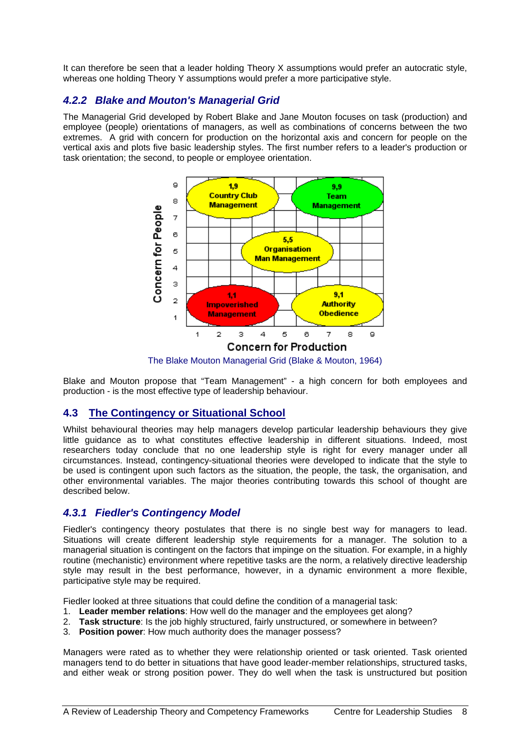<span id="page-7-0"></span>It can therefore be seen that a leader holding Theory X assumptions would prefer an autocratic style, whereas one holding Theory Y assumptions would prefer a more participative style.

# *4.2.2 Blake and Mouton's Managerial Grid*

The Managerial Grid developed by Robert Blake and Jane Mouton focuses on task (production) and employee (people) orientations of managers, as well as combinations of concerns between the two extremes. A grid with concern for production on the horizontal axis and concern for people on the vertical axis and plots five basic leadership styles. The first number refers to a leader's production or task orientation; the second, to people or employee orientation.



Blake and Mouton propose that "Team Management" - a high concern for both employees and production - is the most effective type of leadership behaviour.

# **4.3 The Contingency or Situational School**

Whilst behavioural theories may help managers develop particular leadership behaviours they give little guidance as to what constitutes effective leadership in different situations. Indeed, most researchers today conclude that no one leadership style is right for every manager under all circumstances. Instead, contingency-situational theories were developed to indicate that the style to be used is contingent upon such factors as the situation, the people, the task, the organisation, and other environmental variables. The major theories contributing towards this school of thought are described below.

## *4.3.1 Fiedler's Contingency Model*

Fiedler's contingency theory postulates that there is no single best way for managers to lead. Situations will create different leadership style requirements for a manager. The solution to a managerial situation is contingent on the factors that impinge on the situation. For example, in a highly routine (mechanistic) environment where repetitive tasks are the norm, a relatively directive leadership style may result in the best performance, however, in a dynamic environment a more flexible, participative style may be required.

Fiedler looked at three situations that could define the condition of a managerial task:

- 1. **Leader member relations**: How well do the manager and the employees get along?
- 2. **Task structure**: Is the job highly structured, fairly unstructured, or somewhere in between?
- 3. **Position power**: How much authority does the manager possess?

Managers were rated as to whether they were relationship oriented or task oriented. Task oriented managers tend to do better in situations that have good leader-member relationships, structured tasks, and either weak or strong position power. They do well when the task is unstructured but position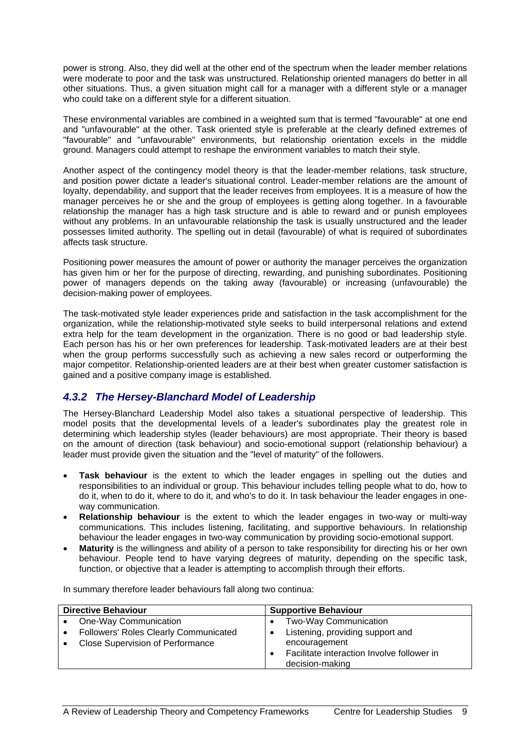<span id="page-8-0"></span>power is strong. Also, they did well at the other end of the spectrum when the leader member relations were moderate to poor and the task was unstructured. Relationship oriented managers do better in all other situations. Thus, a given situation might call for a manager with a different style or a manager who could take on a different style for a different situation.

These environmental variables are combined in a weighted sum that is termed "favourable" at one end and "unfavourable" at the other. Task oriented style is preferable at the clearly defined extremes of "favourable" and "unfavourable" environments, but relationship orientation excels in the middle ground. Managers could attempt to reshape the environment variables to match their style.

Another aspect of the contingency model theory is that the leader-member relations, task structure, and position power dictate a leader's situational control. Leader-member relations are the amount of loyalty, dependability, and support that the leader receives from employees. It is a measure of how the manager perceives he or she and the group of employees is getting along together. In a favourable relationship the manager has a high task structure and is able to reward and or punish employees without any problems. In an unfavourable relationship the task is usually unstructured and the leader possesses limited authority. The spelling out in detail (favourable) of what is required of subordinates affects task structure.

Positioning power measures the amount of power or authority the manager perceives the organization has given him or her for the purpose of directing, rewarding, and punishing subordinates. Positioning power of managers depends on the taking away (favourable) or increasing (unfavourable) the decision-making power of employees.

The task-motivated style leader experiences pride and satisfaction in the task accomplishment for the organization, while the relationship-motivated style seeks to build interpersonal relations and extend extra help for the team development in the organization. There is no good or bad leadership style. Each person has his or her own preferences for leadership. Task-motivated leaders are at their best when the group performs successfully such as achieving a new sales record or outperforming the major competitor. Relationship-oriented leaders are at their best when greater customer satisfaction is gained and a positive company image is established.

## *4.3.2 The Hersey-Blanchard Model of Leadership*

The Hersey-Blanchard Leadership Model also takes a situational perspective of leadership. This model posits that the developmental levels of a leader's subordinates play the greatest role in determining which leadership styles (leader behaviours) are most appropriate. Their theory is based on the amount of direction (task behaviour) and socio-emotional support (relationship behaviour) a leader must provide given the situation and the "level of maturity" of the followers.

- **Task behaviour** is the extent to which the leader engages in spelling out the duties and responsibilities to an individual or group. This behaviour includes telling people what to do, how to do it, when to do it, where to do it, and who's to do it. In task behaviour the leader engages in oneway communication.
- **Relationship behaviour** is the extent to which the leader engages in two-way or multi-way communications. This includes listening, facilitating, and supportive behaviours. In relationship behaviour the leader engages in two-way communication by providing socio-emotional support.
- **Maturity** is the willingness and ability of a person to take responsibility for directing his or her own behaviour. People tend to have varying degrees of maturity, depending on the specific task, function, or objective that a leader is attempting to accomplish through their efforts.

In summary therefore leader behaviours fall along two continua:

| <b>Directive Behaviour</b> |                                              | <b>Supportive Behaviour</b> |                                            |
|----------------------------|----------------------------------------------|-----------------------------|--------------------------------------------|
|                            | One-Way Communication                        |                             | <b>Two-Way Communication</b>               |
|                            | <b>Followers' Roles Clearly Communicated</b> |                             | Listening, providing support and           |
|                            | <b>Close Supervision of Performance</b>      |                             | encouragement                              |
|                            |                                              |                             | Facilitate interaction Involve follower in |
|                            |                                              |                             | decision-making                            |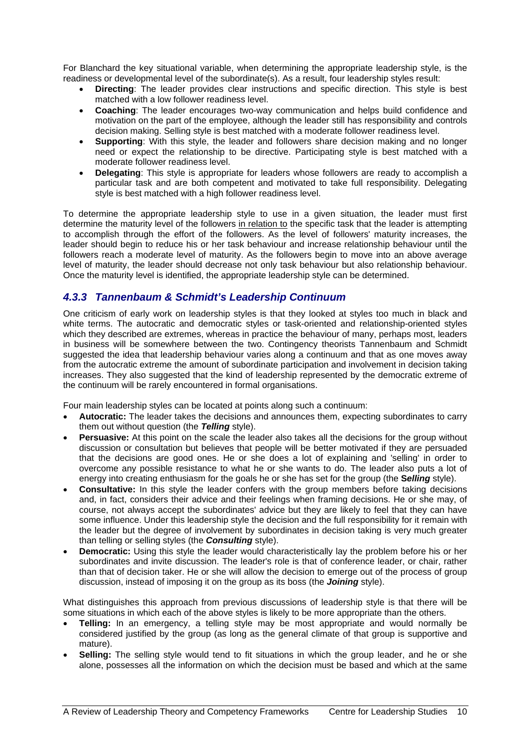<span id="page-9-0"></span>For Blanchard the key situational variable, when determining the appropriate leadership style, is the readiness or developmental level of the subordinate(s). As a result, four leadership styles result:

- **Directing**: The leader provides clear instructions and specific direction. This style is best matched with a low follower readiness level.
- **Coaching**: The leader encourages two-way communication and helps build confidence and motivation on the part of the employee, although the leader still has responsibility and controls decision making. Selling style is best matched with a moderate follower readiness level.
- **Supporting:** With this style, the leader and followers share decision making and no longer need or expect the relationship to be directive. Participating style is best matched with a moderate follower readiness level.
- **Delegating**: This style is appropriate for leaders whose followers are ready to accomplish a particular task and are both competent and motivated to take full responsibility. Delegating style is best matched with a high follower readiness level.

To determine the appropriate leadership style to use in a given situation, the leader must first determine the maturity level of the followers in relation to the specific task that the leader is attempting to accomplish through the effort of the followers. As the level of followers' maturity increases, the leader should begin to reduce his or her task behaviour and increase relationship behaviour until the followers reach a moderate level of maturity. As the followers begin to move into an above average level of maturity, the leader should decrease not only task behaviour but also relationship behaviour. Once the maturity level is identified, the appropriate leadership style can be determined.

## *4.3.3 Tannenbaum & Schmidt's Leadership Continuum*

One criticism of early work on leadership styles is that they looked at styles too much in black and white terms. The autocratic and democratic styles or task-oriented and relationship-oriented styles which they described are extremes, whereas in practice the behaviour of many, perhaps most, leaders in business will be somewhere between the two. Contingency theorists Tannenbaum and Schmidt suggested the idea that leadership behaviour varies along a continuum and that as one moves away from the autocratic extreme the amount of subordinate participation and involvement in decision taking increases. They also suggested that the kind of leadership represented by the democratic extreme of the continuum will be rarely encountered in formal organisations.

Four main leadership styles can be located at points along such a continuum:

- **Autocratic:** The leader takes the decisions and announces them, expecting subordinates to carry them out without question (the *Telling* style).
- **Persuasive:** At this point on the scale the leader also takes all the decisions for the group without discussion or consultation but believes that people will be better motivated if they are persuaded that the decisions are good ones. He or she does a lot of explaining and 'selling' in order to overcome any possible resistance to what he or she wants to do. The leader also puts a lot of energy into creating enthusiasm for the goals he or she has set for the group (the **S***elling* style).
- **Consultative:** In this style the leader confers with the group members before taking decisions and, in fact, considers their advice and their feelings when framing decisions. He or she may, of course, not always accept the subordinates' advice but they are likely to feel that they can have some influence. Under this leadership style the decision and the full responsibility for it remain with the leader but the degree of involvement by subordinates in decision taking is very much greater than telling or selling styles (the *Consulting* style).
- **Democratic:** Using this style the leader would characteristically lay the problem before his or her subordinates and invite discussion. The leader's role is that of conference leader, or chair, rather than that of decision taker. He or she will allow the decision to emerge out of the process of group discussion, instead of imposing it on the group as its boss (the *Joining* style).

What distinguishes this approach from previous discussions of leadership style is that there will be some situations in which each of the above styles is likely to be more appropriate than the others.

- **Telling:** In an emergency, a telling style may be most appropriate and would normally be considered justified by the group (as long as the general climate of that group is supportive and mature).
- **Selling:** The selling style would tend to fit situations in which the group leader, and he or she alone, possesses all the information on which the decision must be based and which at the same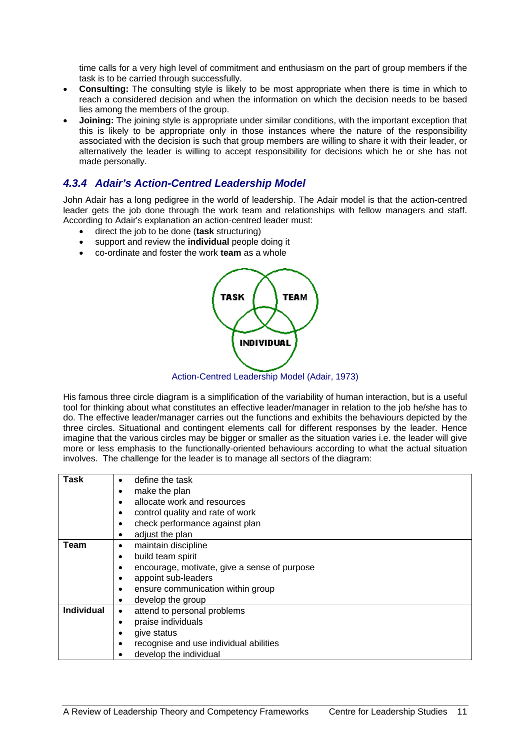<span id="page-10-0"></span>time calls for a very high level of commitment and enthusiasm on the part of group members if the task is to be carried through successfully.

- **Consulting:** The consulting style is likely to be most appropriate when there is time in which to reach a considered decision and when the information on which the decision needs to be based lies among the members of the group.
- **Joining:** The joining style is appropriate under similar conditions, with the important exception that this is likely to be appropriate only in those instances where the nature of the responsibility associated with the decision is such that group members are willing to share it with their leader, or alternatively the leader is willing to accept responsibility for decisions which he or she has not made personally.

### *4.3.4 Adair's Action-Centred Leadership Model*

John Adair has a long pedigree in the world of leadership. The Adair model is that the action-centred leader gets the job done through the work team and relationships with fellow managers and staff. According to Adair's explanation an action-centred leader must:

- direct the job to be done (**task** structuring)
- support and review the **individual** people doing it
- co-ordinate and foster the work **team** as a whole



Action-Centred Leadership Model (Adair, 1973)

His famous three circle diagram is a simplification of the variability of human interaction, but is a useful tool for thinking about what constitutes an effective leader/manager in relation to the job he/she has to do. The effective leader/manager carries out the functions and exhibits the behaviours depicted by the three circles. Situational and contingent elements call for different responses by the leader. Hence imagine that the various circles may be bigger or smaller as the situation varies i.e. the leader will give more or less emphasis to the functionally-oriented behaviours according to what the actual situation involves. The challenge for the leader is to manage all sectors of the diagram:

| <b>Task</b>       | define the task                              |  |  |
|-------------------|----------------------------------------------|--|--|
|                   | make the plan                                |  |  |
|                   | allocate work and resources                  |  |  |
|                   | control quality and rate of work             |  |  |
|                   | check performance against plan               |  |  |
|                   | adjust the plan                              |  |  |
| Team              | maintain discipline<br>٠                     |  |  |
|                   | build team spirit<br>$\bullet$               |  |  |
|                   | encourage, motivate, give a sense of purpose |  |  |
|                   | appoint sub-leaders                          |  |  |
|                   | ensure communication within group            |  |  |
|                   | develop the group<br>٠                       |  |  |
| <b>Individual</b> | attend to personal problems<br>$\bullet$     |  |  |
|                   | praise individuals<br>٠                      |  |  |
|                   | give status                                  |  |  |
|                   | recognise and use individual abilities       |  |  |
|                   | develop the individual                       |  |  |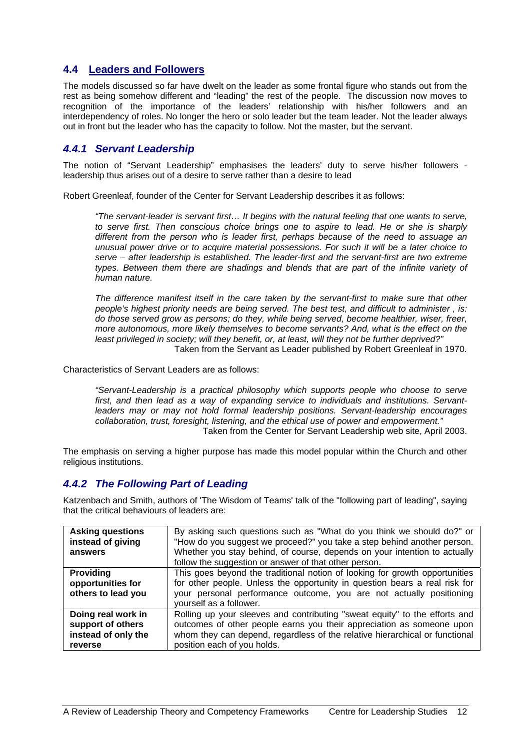## <span id="page-11-0"></span>**4.4 Leaders and Followers**

The models discussed so far have dwelt on the leader as some frontal figure who stands out from the rest as being somehow different and "leading" the rest of the people. The discussion now moves to recognition of the importance of the leaders' relationship with his/her followers and an interdependency of roles. No longer the hero or solo leader but the team leader. Not the leader always out in front but the leader who has the capacity to follow. Not the master, but the servant.

## *4.4.1 Servant Leadership*

The notion of "Servant Leadership" emphasises the leaders' duty to serve his/her followers leadership thus arises out of a desire to serve rather than a desire to lead

Robert Greenleaf, founder of the Center for Servant Leadership describes it as follows:

*"The servant-leader is servant first… It begins with the natural feeling that one wants to serve, to serve first. Then conscious choice brings one to aspire to lead. He or she is sharply different from the person who is leader first, perhaps because of the need to assuage an unusual power drive or to acquire material possessions. For such it will be a later choice to serve – after leadership is established. The leader-first and the servant-first are two extreme types. Between them there are shadings and blends that are part of the infinite variety of human nature.* 

*The difference manifest itself in the care taken by the servant-first to make sure that other people's highest priority needs are being served. The best test, and difficult to administer , is: do those served grow as persons; do they, while being served, become healthier, wiser, freer, more autonomous, more likely themselves to become servants? And, what is the effect on the least privileged in society; will they benefit, or, at least, will they not be further deprived?"* Taken from the Servant as Leader published by Robert Greenleaf in 1970.

Characteristics of Servant Leaders are as follows:

*"Servant-Leadership is a practical philosophy which supports people who choose to serve first, and then lead as a way of expanding service to individuals and institutions. Servantleaders may or may not hold formal leadership positions. Servant-leadership encourages collaboration, trust, foresight, listening, and the ethical use of power and empowerment."* Taken from the Center for Servant Leadership web site, April 2003.

The emphasis on serving a higher purpose has made this model popular within the Church and other religious institutions.

# *4.4.2 The Following Part of Leading*

Katzenbach and Smith, authors of 'The Wisdom of Teams' talk of the "following part of leading", saying that the critical behaviours of leaders are:

| <b>Asking questions</b>                                     | By asking such questions such as "What do you think we should do?" or                                                                                                                                                                                       |
|-------------------------------------------------------------|-------------------------------------------------------------------------------------------------------------------------------------------------------------------------------------------------------------------------------------------------------------|
| instead of giving                                           | "How do you suggest we proceed?" you take a step behind another person.                                                                                                                                                                                     |
| answers                                                     | Whether you stay behind, of course, depends on your intention to actually                                                                                                                                                                                   |
|                                                             | follow the suggestion or answer of that other person.                                                                                                                                                                                                       |
| <b>Providing</b><br>opportunities for<br>others to lead you | This goes beyond the traditional notion of looking for growth opportunities<br>for other people. Unless the opportunity in question bears a real risk for<br>your personal performance outcome, you are not actually positioning<br>yourself as a follower. |
| Doing real work in                                          | Rolling up your sleeves and contributing "sweat equity" to the efforts and                                                                                                                                                                                  |
| support of others                                           | outcomes of other people earns you their appreciation as someone upon                                                                                                                                                                                       |
| instead of only the                                         | whom they can depend, regardless of the relative hierarchical or functional                                                                                                                                                                                 |
| reverse                                                     | position each of you holds.                                                                                                                                                                                                                                 |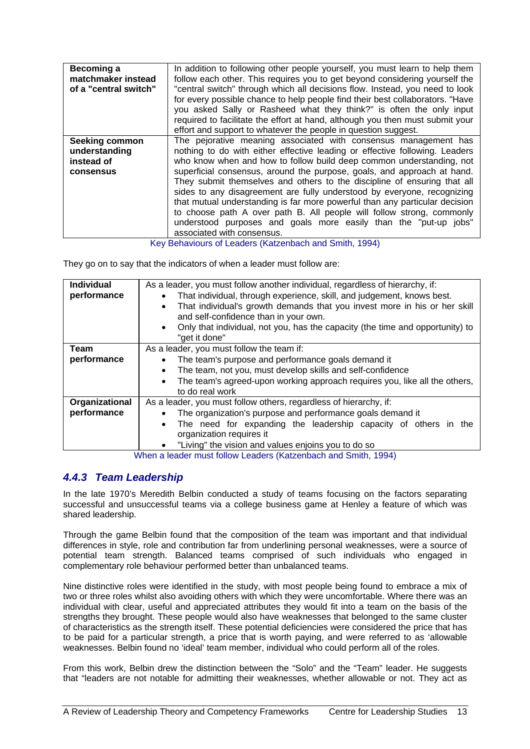<span id="page-12-0"></span>

| Becoming a<br>matchmaker instead<br>of a "central switch"         | In addition to following other people yourself, you must learn to help them<br>follow each other. This requires you to get beyond considering yourself the<br>"central switch" through which all decisions flow. Instead, you need to look<br>for every possible chance to help people find their best collaborators. "Have<br>you asked Sally or Rasheed what they think?" is often the only input<br>required to facilitate the effort at hand, although you then must submit your<br>effort and support to whatever the people in question suggest.                                                                                                                                                             |
|-------------------------------------------------------------------|--------------------------------------------------------------------------------------------------------------------------------------------------------------------------------------------------------------------------------------------------------------------------------------------------------------------------------------------------------------------------------------------------------------------------------------------------------------------------------------------------------------------------------------------------------------------------------------------------------------------------------------------------------------------------------------------------------------------|
| <b>Seeking common</b><br>understanding<br>instead of<br>consensus | The pejorative meaning associated with consensus management has<br>nothing to do with either effective leading or effective following. Leaders<br>who know when and how to follow build deep common understanding, not<br>superficial consensus, around the purpose, goals, and approach at hand.<br>They submit themselves and others to the discipline of ensuring that all<br>sides to any disagreement are fully understood by everyone, recognizing<br>that mutual understanding is far more powerful than any particular decision<br>to choose path A over path B. All people will follow strong, commonly<br>understood purposes and goals more easily than the "put-up jobs"<br>associated with consensus. |

Key Behaviours of Leaders (Katzenbach and Smith, 1994)

They go on to say that the indicators of when a leader must follow are:

| Individual<br>performance | As a leader, you must follow another individual, regardless of hierarchy, if:<br>That individual, through experience, skill, and judgement, knows best.<br>$\bullet$<br>That individual's growth demands that you invest more in his or her skill<br>$\bullet$<br>and self-confidence than in your own.<br>Only that individual, not you, has the capacity (the time and opportunity) to<br>$\bullet$<br>"get it done" |  |  |
|---------------------------|------------------------------------------------------------------------------------------------------------------------------------------------------------------------------------------------------------------------------------------------------------------------------------------------------------------------------------------------------------------------------------------------------------------------|--|--|
| Team                      | As a leader, you must follow the team if:                                                                                                                                                                                                                                                                                                                                                                              |  |  |
| performance               | The team's purpose and performance goals demand it                                                                                                                                                                                                                                                                                                                                                                     |  |  |
|                           | The team, not you, must develop skills and self-confidence<br>$\bullet$                                                                                                                                                                                                                                                                                                                                                |  |  |
|                           | The team's agreed-upon working approach requires you, like all the others,<br>$\bullet$<br>to do real work                                                                                                                                                                                                                                                                                                             |  |  |
| Organizational            | As a leader, you must follow others, regardless of hierarchy, if:                                                                                                                                                                                                                                                                                                                                                      |  |  |
| performance               | The organization's purpose and performance goals demand it                                                                                                                                                                                                                                                                                                                                                             |  |  |
|                           | The need for expanding the leadership capacity of others in the                                                                                                                                                                                                                                                                                                                                                        |  |  |
|                           | organization requires it                                                                                                                                                                                                                                                                                                                                                                                               |  |  |
|                           | "Living" the vision and values enjoins you to do so                                                                                                                                                                                                                                                                                                                                                                    |  |  |

When a leader must follow Leaders (Katzenbach and Smith, 1994)

## *4.4.3 Team Leadership*

In the late 1970's Meredith Belbin conducted a study of teams focusing on the factors separating successful and unsuccessful teams via a college business game at Henley a feature of which was shared leadership.

Through the game Belbin found that the composition of the team was important and that individual differences in style, role and contribution far from underlining personal weaknesses, were a source of potential team strength. Balanced teams comprised of such individuals who engaged in complementary role behaviour performed better than unbalanced teams.

Nine distinctive roles were identified in the study, with most people being found to embrace a mix of two or three roles whilst also avoiding others with which they were uncomfortable. Where there was an individual with clear, useful and appreciated attributes they would fit into a team on the basis of the strengths they brought. These people would also have weaknesses that belonged to the same cluster of characteristics as the strength itself. These potential deficiencies were considered the price that has to be paid for a particular strength, a price that is worth paying, and were referred to as 'allowable weaknesses. Belbin found no 'ideal' team member, individual who could perform all of the roles.

From this work, Belbin drew the distinction between the "Solo" and the "Team" leader. He suggests that "leaders are not notable for admitting their weaknesses, whether allowable or not. They act as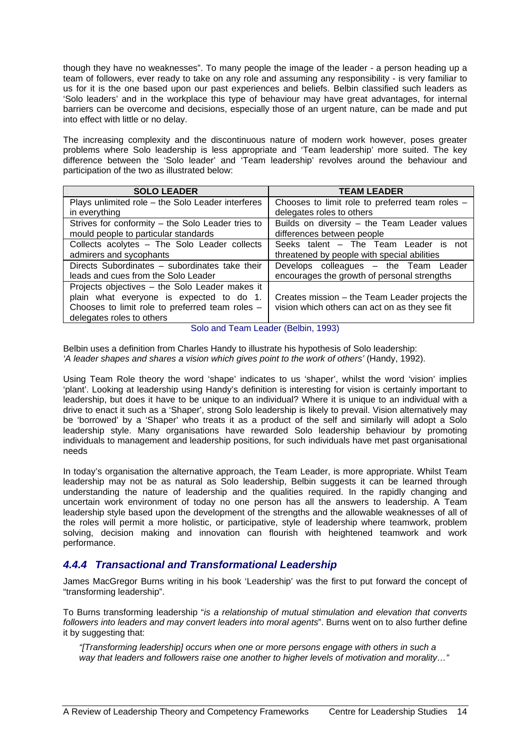<span id="page-13-0"></span>though they have no weaknesses". To many people the image of the leader - a person heading up a team of followers, ever ready to take on any role and assuming any responsibility - is very familiar to us for it is the one based upon our past experiences and beliefs. Belbin classified such leaders as 'Solo leaders' and in the workplace this type of behaviour may have great advantages, for internal barriers can be overcome and decisions, especially those of an urgent nature, can be made and put into effect with little or no delay.

The increasing complexity and the discontinuous nature of modern work however, poses greater problems where Solo leadership is less appropriate and 'Team leadership' more suited. The key difference between the 'Solo leader' and 'Team leadership' revolves around the behaviour and participation of the two as illustrated below:

| <b>SOLO LEADER</b>                                | <b>TEAM LEADER</b>                              |
|---------------------------------------------------|-------------------------------------------------|
| Plays unlimited role - the Solo Leader interferes | Chooses to limit role to preferred team roles - |
| in everything                                     | delegates roles to others                       |
| Strives for conformity – the Solo Leader tries to | Builds on diversity - the Team Leader values    |
| mould people to particular standards              | differences between people                      |
| Collects acolytes - The Solo Leader collects      | Seeks talent - The Team Leader is not           |
| admirers and sycophants                           | threatened by people with special abilities     |
| Directs Subordinates - subordinates take their    | Develops colleagues - the Team Leader           |
| leads and cues from the Solo Leader               | encourages the growth of personal strengths     |
| Projects objectives - the Solo Leader makes it    |                                                 |
| plain what everyone is expected to do 1.          | Creates mission – the Team Leader projects the  |
| Chooses to limit role to preferred team roles -   | vision which others can act on as they see fit  |
| delegates roles to others                         |                                                 |

Solo and Team Leader (Belbin, 1993)

Belbin uses a definition from Charles Handy to illustrate his hypothesis of Solo leadership: *'A leader shapes and shares a vision which gives point to the work of others'* (Handy, 1992).

Using Team Role theory the word 'shape' indicates to us 'shaper', whilst the word 'vision' implies 'plant'. Looking at leadership using Handy's definition is interesting for vision is certainly important to leadership, but does it have to be unique to an individual? Where it is unique to an individual with a drive to enact it such as a 'Shaper', strong Solo leadership is likely to prevail. Vision alternatively may be 'borrowed' by a 'Shaper' who treats it as a product of the self and similarly will adopt a Solo leadership style. Many organisations have rewarded Solo leadership behaviour by promoting individuals to management and leadership positions, for such individuals have met past organisational needs

In today's organisation the alternative approach, the Team Leader, is more appropriate. Whilst Team leadership may not be as natural as Solo leadership, Belbin suggests it can be learned through understanding the nature of leadership and the qualities required. In the rapidly changing and uncertain work environment of today no one person has all the answers to leadership. A Team leadership style based upon the development of the strengths and the allowable weaknesses of all of the roles will permit a more holistic, or participative, style of leadership where teamwork, problem solving, decision making and innovation can flourish with heightened teamwork and work performance.

## *4.4.4 Transactional and Transformational Leadership*

James MacGregor Burns writing in his book 'Leadership' was the first to put forward the concept of "transforming leadership".

To Burns transforming leadership "*is a relationship of mutual stimulation and elevation that converts followers into leaders and may convert leaders into moral agents*". Burns went on to also further define it by suggesting that:

*"[Transforming leadership] occurs when one or more persons engage with others in such a way that leaders and followers raise one another to higher levels of motivation and morality…"*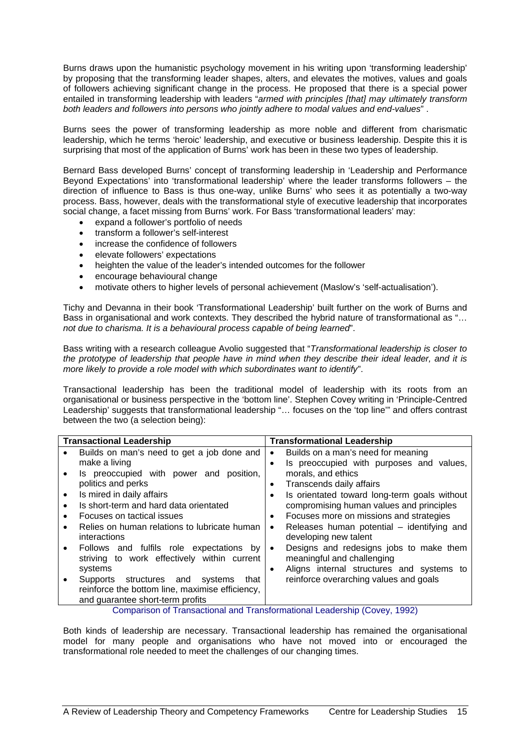Burns draws upon the humanistic psychology movement in his writing upon 'transforming leadership' by proposing that the transforming leader shapes, alters, and elevates the motives, values and goals of followers achieving significant change in the process. He proposed that there is a special power entailed in transforming leadership with leaders "*armed with principles [that] may ultimately transform both leaders and followers into persons who jointly adhere to modal values and end-values*" .

Burns sees the power of transforming leadership as more noble and different from charismatic leadership, which he terms 'heroic' leadership, and executive or business leadership. Despite this it is surprising that most of the application of Burns' work has been in these two types of leadership.

Bernard Bass developed Burns' concept of transforming leadership in 'Leadership and Performance Beyond Expectations' into 'transformational leadership' where the leader transforms followers – the direction of influence to Bass is thus one-way, unlike Burns' who sees it as potentially a two-way process. Bass, however, deals with the transformational style of executive leadership that incorporates social change, a facet missing from Burns' work. For Bass 'transformational leaders' may:

- expand a follower's portfolio of needs
- transform a follower's self-interest
- increase the confidence of followers
- elevate followers' expectations
- heighten the value of the leader's intended outcomes for the follower
- encourage behavioural change
- motivate others to higher levels of personal achievement (Maslow's 'self-actualisation').

Tichy and Devanna in their book 'Transformational Leadership' built further on the work of Burns and Bass in organisational and work contexts. They described the hybrid nature of transformational as "... *not due to charisma. It is a behavioural process capable of being learned*".

Bass writing with a research colleague Avolio suggested that "*Transformational leadership is closer to the prototype of leadership that people have in mind when they describe their ideal leader, and it is more likely to provide a role model with which subordinates want to identify*".

Transactional leadership has been the traditional model of leadership with its roots from an organisational or business perspective in the 'bottom line'. Stephen Covey writing in 'Principle-Centred Leadership' suggests that transformational leadership "… focuses on the 'top line'" and offers contrast between the two (a selection being):

| <b>Transactional Leadership</b>                           | <b>Transformational Leadership</b>                        |  |
|-----------------------------------------------------------|-----------------------------------------------------------|--|
| Builds on man's need to get a job done and                | Builds on a man's need for meaning<br>$\bullet$           |  |
| make a living                                             | Is preoccupied with purposes and values,<br>$\bullet$     |  |
| Is preoccupied with power and position,                   | morals, and ethics                                        |  |
| politics and perks                                        | Transcends daily affairs<br>٠                             |  |
| Is mired in daily affairs<br>$\bullet$                    | Is orientated toward long-term goals without<br>$\bullet$ |  |
| Is short-term and hard data orientated                    | compromising human values and principles                  |  |
| Focuses on tactical issues                                | Focuses more on missions and strategies<br>$\bullet$      |  |
| Relies on human relations to lubricate human<br>$\bullet$ | Releases human potential - identifying and<br>$\bullet$   |  |
| interactions                                              | developing new talent                                     |  |
| Follows and fulfils role expectations by<br>$\bullet$     | Designs and redesigns jobs to make them<br>$\bullet$      |  |
| striving to work effectively within current               | meaningful and challenging                                |  |
| systems                                                   | Aligns internal structures and systems to<br>$\bullet$    |  |
| Supports structures and<br>that I<br>systems<br>$\bullet$ | reinforce overarching values and goals                    |  |
| reinforce the bottom line, maximise efficiency,           |                                                           |  |
| and guarantee short-term profits                          | $\sim$ $\sim$ $\sim$ $\sim$ $\sim$                        |  |

Comparison of Transactional and Transformational Leadership (Covey, 1992)

Both kinds of leadership are necessary. Transactional leadership has remained the organisational model for many people and organisations who have not moved into or encouraged the transformational role needed to meet the challenges of our changing times.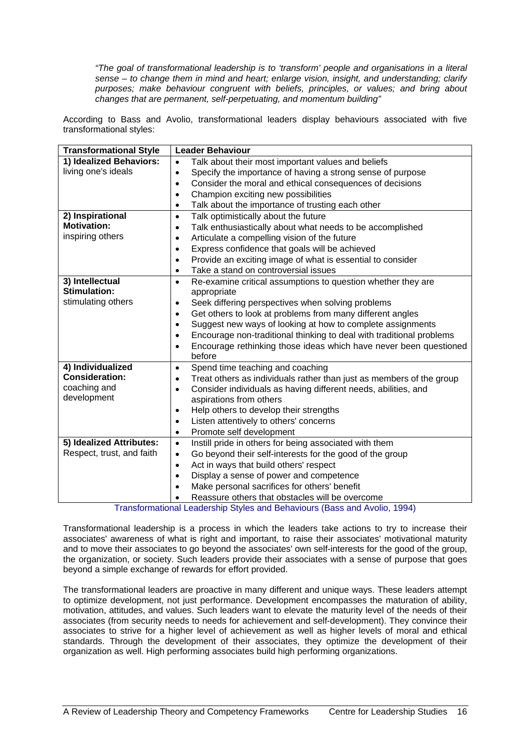*"The goal of transformational leadership is to 'transform' people and organisations in a literal sense – to change them in mind and heart; enlarge vision, insight, and understanding; clarify purposes; make behaviour congruent with beliefs, principles, or values; and bring about changes that are permanent, self-perpetuating, and momentum building"*

According to Bass and Avolio, transformational leaders display behaviours associated with five transformational styles:

| <b>Transformational Style</b> | <b>Leader Behaviour</b>                                                           |
|-------------------------------|-----------------------------------------------------------------------------------|
| 1) Idealized Behaviors:       | Talk about their most important values and beliefs<br>$\bullet$                   |
| living one's ideals           | Specify the importance of having a strong sense of purpose<br>$\bullet$           |
|                               | Consider the moral and ethical consequences of decisions<br>$\bullet$             |
|                               | Champion exciting new possibilities<br>$\bullet$                                  |
|                               | Talk about the importance of trusting each other<br>$\bullet$                     |
| 2) Inspirational              | Talk optimistically about the future<br>$\bullet$                                 |
| <b>Motivation:</b>            | Talk enthusiastically about what needs to be accomplished<br>$\bullet$            |
| inspiring others              | Articulate a compelling vision of the future<br>$\bullet$                         |
|                               | Express confidence that goals will be achieved<br>$\bullet$                       |
|                               | Provide an exciting image of what is essential to consider<br>$\bullet$           |
|                               | Take a stand on controversial issues<br>$\bullet$                                 |
| 3) Intellectual               | Re-examine critical assumptions to question whether they are<br>$\bullet$         |
| <b>Stimulation:</b>           | appropriate                                                                       |
| stimulating others            | Seek differing perspectives when solving problems<br>٠                            |
|                               | Get others to look at problems from many different angles<br>$\bullet$            |
|                               | Suggest new ways of looking at how to complete assignments<br>$\bullet$           |
|                               | Encourage non-traditional thinking to deal with traditional problems<br>$\bullet$ |
|                               | Encourage rethinking those ideas which have never been questioned<br>$\bullet$    |
|                               | before                                                                            |
| 4) Individualized             | Spend time teaching and coaching<br>$\bullet$                                     |
| <b>Consideration:</b>         | Treat others as individuals rather than just as members of the group<br>$\bullet$ |
| coaching and<br>development   | Consider individuals as having different needs, abilities, and<br>$\bullet$       |
|                               | aspirations from others                                                           |
|                               | Help others to develop their strengths<br>$\bullet$                               |
|                               | Listen attentively to others' concerns<br>$\bullet$                               |
|                               | Promote self development<br>$\bullet$                                             |
| 5) Idealized Attributes:      | Instill pride in others for being associated with them<br>$\bullet$               |
| Respect, trust, and faith     | Go beyond their self-interests for the good of the group<br>$\bullet$             |
|                               | Act in ways that build others' respect<br>$\bullet$                               |
|                               | Display a sense of power and competence<br>$\bullet$                              |
|                               | Make personal sacrifices for others' benefit                                      |
|                               | Reassure others that obstacles will be overcome                                   |

Transformational Leadership Styles and Behaviours (Bass and Avolio, 1994)

Transformational leadership is a process in which the leaders take actions to try to increase their associates' awareness of what is right and important, to raise their associates' motivational maturity and to move their associates to go beyond the associates' own self-interests for the good of the group, the organization, or society. Such leaders provide their associates with a sense of purpose that goes beyond a simple exchange of rewards for effort provided.

The transformational leaders are proactive in many different and unique ways. These leaders attempt to optimize development, not just performance. Development encompasses the maturation of ability, motivation, attitudes, and values. Such leaders want to elevate the maturity level of the needs of their associates (from security needs to needs for achievement and self-development). They convince their associates to strive for a higher level of achievement as well as higher levels of moral and ethical standards. Through the development of their associates, they optimize the development of their organization as well. High performing associates build high performing organizations.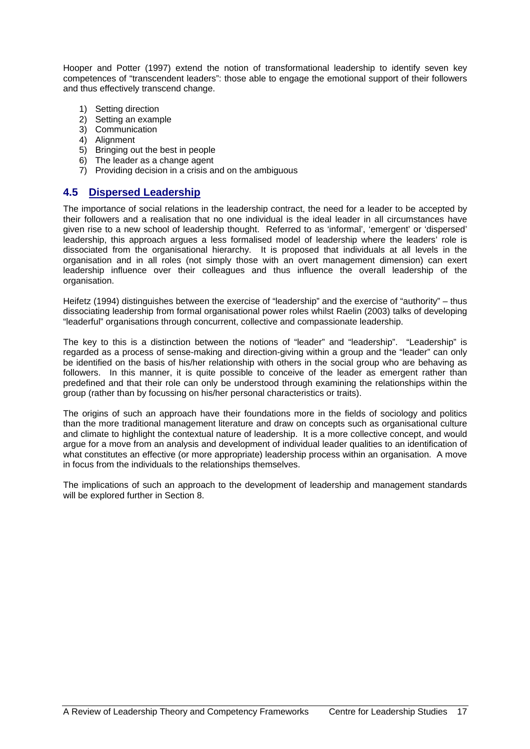<span id="page-16-0"></span>Hooper and Potter (1997) extend the notion of transformational leadership to identify seven key competences of "transcendent leaders": those able to engage the emotional support of their followers and thus effectively transcend change.

- 1) Setting direction
- 2) Setting an example
- 3) Communication
- 4) Alignment
- 5) Bringing out the best in people
- 6) The leader as a change agent
- 7) Providing decision in a crisis and on the ambiguous

## **4.5 Dispersed Leadership**

The importance of social relations in the leadership contract, the need for a leader to be accepted by their followers and a realisation that no one individual is the ideal leader in all circumstances have given rise to a new school of leadership thought. Referred to as 'informal', 'emergent' or 'dispersed' leadership, this approach argues a less formalised model of leadership where the leaders' role is dissociated from the organisational hierarchy. It is proposed that individuals at all levels in the organisation and in all roles (not simply those with an overt management dimension) can exert leadership influence over their colleagues and thus influence the overall leadership of the organisation.

Heifetz (1994) distinguishes between the exercise of "leadership" and the exercise of "authority" – thus dissociating leadership from formal organisational power roles whilst Raelin (2003) talks of developing "leaderful" organisations through concurrent, collective and compassionate leadership.

The key to this is a distinction between the notions of "leader" and "leadership". "Leadership" is regarded as a process of sense-making and direction-giving within a group and the "leader" can only be identified on the basis of his/her relationship with others in the social group who are behaving as followers. In this manner, it is quite possible to conceive of the leader as emergent rather than predefined and that their role can only be understood through examining the relationships within the group (rather than by focussing on his/her personal characteristics or traits).

The origins of such an approach have their foundations more in the fields of sociology and politics than the more traditional management literature and draw on concepts such as organisational culture and climate to highlight the contextual nature of leadership. It is a more collective concept, and would argue for a move from an analysis and development of individual leader qualities to an identification of what constitutes an effective (or more appropriate) leadership process within an organisation. A move in focus from the individuals to the relationships themselves.

The implications of such an approach to the development of leadership and management standards will be explored further in Section 8.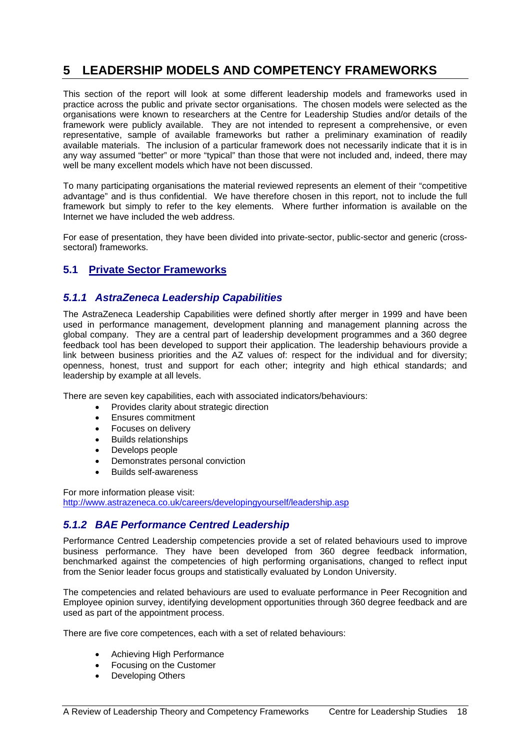# <span id="page-17-0"></span>**5 LEADERSHIP MODELS AND COMPETENCY FRAMEWORKS**

This section of the report will look at some different leadership models and frameworks used in practice across the public and private sector organisations. The chosen models were selected as the organisations were known to researchers at the Centre for Leadership Studies and/or details of the framework were publicly available. They are not intended to represent a comprehensive, or even representative, sample of available frameworks but rather a preliminary examination of readily available materials. The inclusion of a particular framework does not necessarily indicate that it is in any way assumed "better" or more "typical" than those that were not included and, indeed, there may well be many excellent models which have not been discussed.

To many participating organisations the material reviewed represents an element of their "competitive advantage" and is thus confidential. We have therefore chosen in this report, not to include the full framework but simply to refer to the key elements. Where further information is available on the Internet we have included the web address.

For ease of presentation, they have been divided into private-sector, public-sector and generic (crosssectoral) frameworks.

## **5.1 Private Sector Frameworks**

### *5.1.1 AstraZeneca Leadership Capabilities*

The AstraZeneca Leadership Capabilities were defined shortly after merger in 1999 and have been used in performance management, development planning and management planning across the global company. They are a central part of leadership development programmes and a 360 degree feedback tool has been developed to support their application. The leadership behaviours provide a link between business priorities and the AZ values of: respect for the individual and for diversity; openness, honest, trust and support for each other; integrity and high ethical standards; and leadership by example at all levels.

There are seven key capabilities, each with associated indicators/behaviours:

- Provides clarity about strategic direction
- Ensures commitment
- Focuses on delivery
- Builds relationships
- Develops people
- Demonstrates personal conviction
- Builds self-awareness

For more information please visit: <http://www.astrazeneca.co.uk/careers/developingyourself/leadership.asp>

## *5.1.2 BAE Performance Centred Leadership*

Performance Centred Leadership competencies provide a set of related behaviours used to improve business performance. They have been developed from 360 degree feedback information, benchmarked against the competencies of high performing organisations, changed to reflect input from the Senior leader focus groups and statistically evaluated by London University.

The competencies and related behaviours are used to evaluate performance in Peer Recognition and Employee opinion survey, identifying development opportunities through 360 degree feedback and are used as part of the appointment process.

There are five core competences, each with a set of related behaviours:

- Achieving High Performance
- Focusing on the Customer
- Developing Others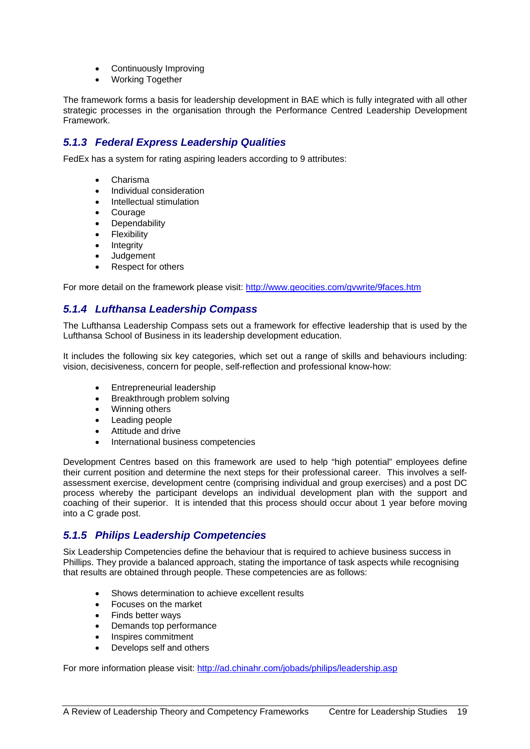- Continuously Improving
- Working Together

<span id="page-18-0"></span>The framework forms a basis for leadership development in BAE which is fully integrated with all other strategic processes in the organisation through the Performance Centred Leadership Development Framework.

## *5.1.3 Federal Express Leadership Qualities*

FedEx has a system for rating aspiring leaders according to 9 attributes:

- Charisma
- Individual consideration
- Intellectual stimulation
- Courage
- Dependability
- Flexibility
- Integrity
- Judgement
- Respect for others

For more detail on the framework please visit: <http://www.geocities.com/gvwrite/9faces.htm>

### *5.1.4 Lufthansa Leadership Compass*

The Lufthansa Leadership Compass sets out a framework for effective leadership that is used by the Lufthansa School of Business in its leadership development education.

It includes the following six key categories, which set out a range of skills and behaviours including: vision, decisiveness, concern for people, self-reflection and professional know-how:

- Entrepreneurial leadership
- Breakthrough problem solving
- Winning others
- Leading people
- Attitude and drive
- International business competencies

Development Centres based on this framework are used to help "high potential" employees define their current position and determine the next steps for their professional career. This involves a selfassessment exercise, development centre (comprising individual and group exercises) and a post DC process whereby the participant develops an individual development plan with the support and coaching of their superior. It is intended that this process should occur about 1 year before moving into a C grade post.

### *5.1.5 Philips Leadership Competencies*

Six Leadership Competencies define the behaviour that is required to achieve business success in Phillips. They provide a balanced approach, stating the importance of task aspects while recognising that results are obtained through people. These competencies are as follows:

- Shows determination to achieve excellent results
- Focuses on the market
- Finds better ways
- Demands top performance
- Inspires commitment
- Develops self and others

For more information please visit:<http://ad.chinahr.com/jobads/philips/leadership.asp>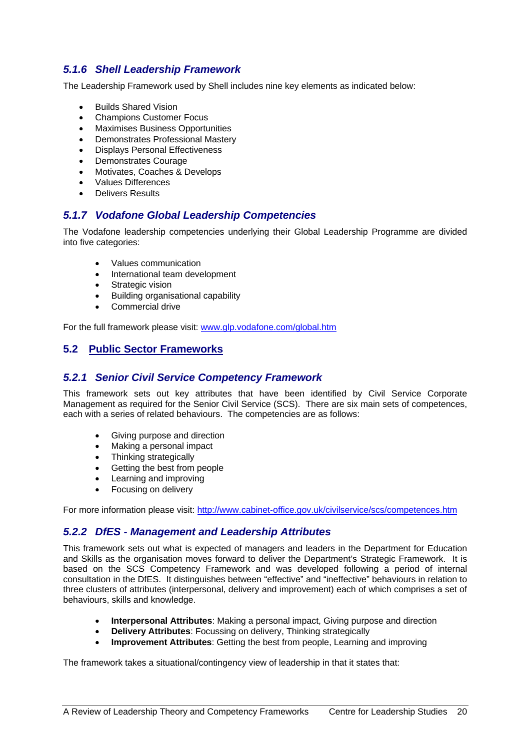# <span id="page-19-0"></span>*5.1.6 Shell Leadership Framework*

The Leadership Framework used by Shell includes nine key elements as indicated below:

- Builds Shared Vision
- Champions Customer Focus
- Maximises Business Opportunities
- Demonstrates Professional Mastery
- Displays Personal Effectiveness
- Demonstrates Courage
- Motivates, Coaches & Develops
- Values Differences
- Delivers Results

## *5.1.7 Vodafone Global Leadership Competencies*

The Vodafone leadership competencies underlying their Global Leadership Programme are divided into five categories:

- Values communication
- International team development
- Strategic vision
- Building organisational capability
- Commercial drive

For the full framework please visit: [www.glp.vodafone.com/global.htm](http://www.glp.vodafone.com/global.htm)

# **5.2 Public Sector Frameworks**

### *5.2.1 Senior Civil Service Competency Framework*

This framework sets out key attributes that have been identified by Civil Service Corporate Management as required for the Senior Civil Service (SCS). There are six main sets of competences, each with a series of related behaviours. The competencies are as follows:

- Giving purpose and direction
- Making a personal impact
- Thinking strategically
- Getting the best from people
- Learning and improving
- Focusing on delivery

For more information please visit:<http://www.cabinet-office.gov.uk/civilservice/scs/competences.htm>

## *5.2.2 DfES - Management and Leadership Attributes*

This framework sets out what is expected of managers and leaders in the Department for Education and Skills as the organisation moves forward to deliver the Department's Strategic Framework. It is based on the SCS Competency Framework and was developed following a period of internal consultation in the DfES. It distinguishes between "effective" and "ineffective" behaviours in relation to three clusters of attributes (interpersonal, delivery and improvement) each of which comprises a set of behaviours, skills and knowledge.

- **Interpersonal Attributes**: Making a personal impact, Giving purpose and direction
- **Delivery Attributes**: Focussing on delivery, Thinking strategically
- **Improvement Attributes**: Getting the best from people, Learning and improving

The framework takes a situational/contingency view of leadership in that it states that: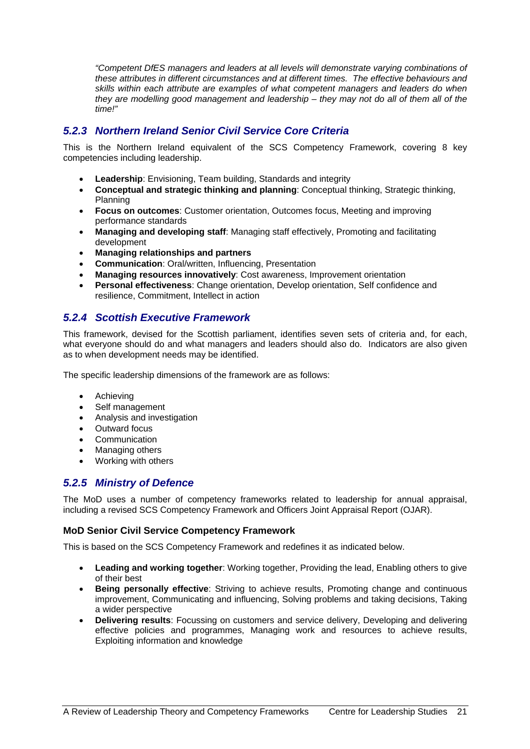<span id="page-20-0"></span>*"Competent DfES managers and leaders at all levels will demonstrate varying combinations of these attributes in different circumstances and at different times. The effective behaviours and skills within each attribute are examples of what competent managers and leaders do when they are modelling good management and leadership – they may not do all of them all of the time!"*

## *5.2.3 Northern Ireland Senior Civil Service Core Criteria*

This is the Northern Ireland equivalent of the SCS Competency Framework, covering 8 key competencies including leadership.

- **Leadership**: Envisioning, Team building, Standards and integrity
- **Conceptual and strategic thinking and planning**: Conceptual thinking, Strategic thinking, Planning
- **Focus on outcomes**: Customer orientation, Outcomes focus, Meeting and improving performance standards
- **Managing and developing staff**: Managing staff effectively, Promoting and facilitating development
- **Managing relationships and partners**
- **Communication**: Oral/written, Influencing, Presentation
- **Managing resources innovatively**: Cost awareness, Improvement orientation
- **Personal effectiveness**: Change orientation, Develop orientation, Self confidence and resilience, Commitment, Intellect in action

## *5.2.4 Scottish Executive Framework*

This framework, devised for the Scottish parliament, identifies seven sets of criteria and, for each, what everyone should do and what managers and leaders should also do. Indicators are also given as to when development needs may be identified.

The specific leadership dimensions of the framework are as follows:

- Achieving
- Self management
- Analysis and investigation
- Outward focus
- Communication
- Managing others
- Working with others

### *5.2.5 Ministry of Defence*

The MoD uses a number of competency frameworks related to leadership for annual appraisal, including a revised SCS Competency Framework and Officers Joint Appraisal Report (OJAR).

#### **MoD Senior Civil Service Competency Framework**

This is based on the SCS Competency Framework and redefines it as indicated below.

- **Leading and working together**: Working together, Providing the lead, Enabling others to give of their best
- **Being personally effective**: Striving to achieve results, Promoting change and continuous improvement, Communicating and influencing, Solving problems and taking decisions, Taking a wider perspective
- **Delivering results**: Focussing on customers and service delivery, Developing and delivering effective policies and programmes, Managing work and resources to achieve results, Exploiting information and knowledge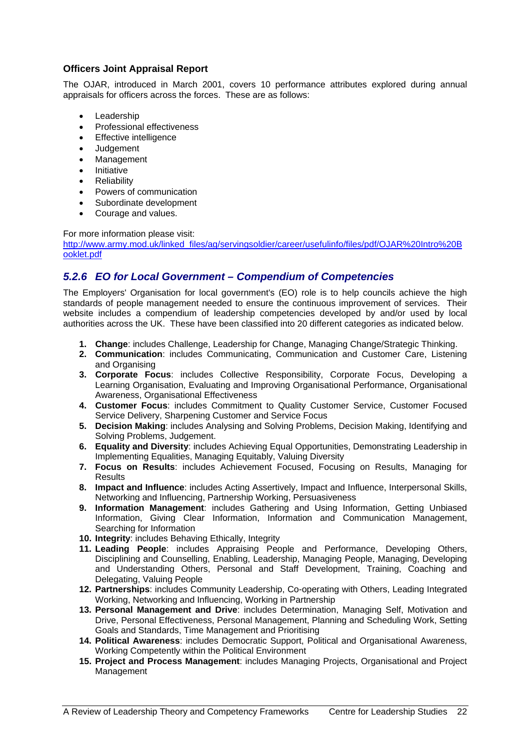### <span id="page-21-0"></span>**Officers Joint Appraisal Report**

The OJAR, introduced in March 2001, covers 10 performance attributes explored during annual appraisals for officers across the forces. These are as follows:

- **Leadership**
- Professional effectiveness
- **Effective intelligence**
- Judgement
- **Management**
- **Initiative**
- **Reliability**
- Powers of communication
- Subordinate development
- Courage and values.

#### For more information please visit:

[http://www.army.mod.uk/linked\\_files/ag/servingsoldier/career/usefulinfo/files/pdf/OJAR%20Intro%20B](http://www.army.mod.uk/linked_files/ag/servingsoldier/career/usefulinfo/files/pdf/OJAR Intro Booklet.pdf) [ooklet.pdf](http://www.army.mod.uk/linked_files/ag/servingsoldier/career/usefulinfo/files/pdf/OJAR Intro Booklet.pdf)

### *5.2.6 EO for Local Government – Compendium of Competencies*

The Employers' Organisation for local government's (EO) role is to help councils achieve the high standards of people management needed to ensure the continuous improvement of services. Their website includes a compendium of leadership competencies developed by and/or used by local authorities across the UK. These have been classified into 20 different categories as indicated below.

- **1. Change**: includes Challenge, Leadership for Change, Managing Change/Strategic Thinking.
- **2. Communication**: includes Communicating, Communication and Customer Care, Listening and Organising
- **3. Corporate Focus**: includes Collective Responsibility, Corporate Focus, Developing a Learning Organisation, Evaluating and Improving Organisational Performance, Organisational Awareness, Organisational Effectiveness
- **4. Customer Focus**: includes Commitment to Quality Customer Service, Customer Focused Service Delivery, Sharpening Customer and Service Focus
- **5. Decision Making**: includes Analysing and Solving Problems, Decision Making, Identifying and Solving Problems, Judgement.
- **6. Equality and Diversity**: includes Achieving Equal Opportunities, Demonstrating Leadership in Implementing Equalities, Managing Equitably, Valuing Diversity
- **7. Focus on Results**: includes Achievement Focused, Focusing on Results, Managing for Results
- **8. Impact and Influence**: includes Acting Assertively, Impact and Influence, Interpersonal Skills, Networking and Influencing, Partnership Working, Persuasiveness
- **9. Information Management**: includes Gathering and Using Information, Getting Unbiased Information, Giving Clear Information, Information and Communication Management, Searching for Information
- **10. Integrity**: includes Behaving Ethically, Integrity
- **11. Leading People**: includes Appraising People and Performance, Developing Others, Disciplining and Counselling, Enabling, Leadership, Managing People, Managing, Developing and Understanding Others, Personal and Staff Development, Training, Coaching and Delegating, Valuing People
- **12. Partnerships**: includes Community Leadership, Co-operating with Others, Leading Integrated Working, Networking and Influencing, Working in Partnership
- **13. Personal Management and Drive**: includes Determination, Managing Self, Motivation and Drive, Personal Effectiveness, Personal Management, Planning and Scheduling Work, Setting Goals and Standards, Time Management and Prioritising
- **14. Political Awareness**: includes Democratic Support, Political and Organisational Awareness, Working Competently within the Political Environment
- **15. Project and Process Management**: includes Managing Projects, Organisational and Project Management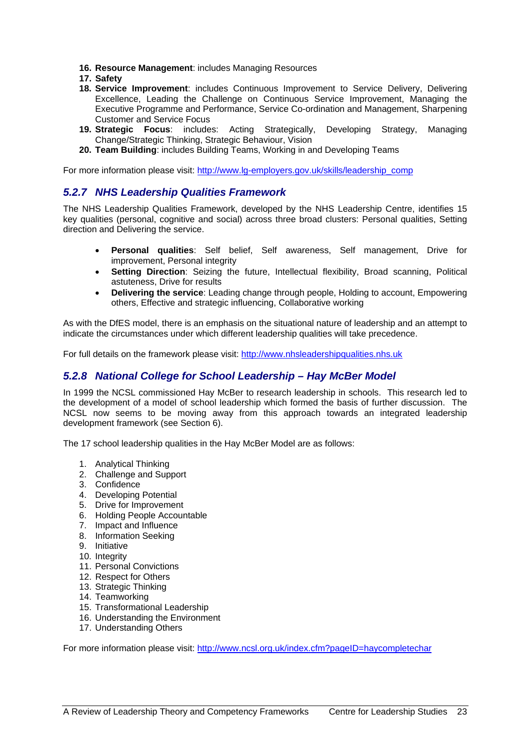- <span id="page-22-0"></span>**16. Resource Management**: includes Managing Resources
- **17. Safety**
- **18. Service Improvement**: includes Continuous Improvement to Service Delivery, Delivering Excellence, Leading the Challenge on Continuous Service Improvement, Managing the Executive Programme and Performance, Service Co-ordination and Management, Sharpening Customer and Service Focus
- **19. Strategic Focus**: includes: Acting Strategically, Developing Strategy, Managing Change/Strategic Thinking, Strategic Behaviour, Vision
- **20. Team Building**: includes Building Teams, Working in and Developing Teams

For more information please visit: [http://www.lg-employers.gov.uk/skills/leadership\\_comp](http://www.lg-employers.gov.uk/skills/leadership_comp)

### *5.2.7 NHS Leadership Qualities Framework*

The NHS Leadership Qualities Framework, developed by the NHS Leadership Centre, identifies 15 key qualities (personal, cognitive and social) across three broad clusters: Personal qualities, Setting direction and Delivering the service.

- **Personal qualities**: Self belief, Self awareness, Self management, Drive for improvement, Personal integrity
- **Setting Direction**: Seizing the future, Intellectual flexibility, Broad scanning, Political astuteness, Drive for results
- **Delivering the service**: Leading change through people, Holding to account, Empowering others, Effective and strategic influencing, Collaborative working

As with the DfES model, there is an emphasis on the situational nature of leadership and an attempt to indicate the circumstances under which different leadership qualities will take precedence.

For full details on the framework please visit: [http://www.nhsleadershipqualities.nhs.uk](http://www.nhsleadershipqualities.nhs.uk/)

### *5.2.8 National College for School Leadership – Hay McBer Model*

In 1999 the NCSL commissioned Hay McBer to research leadership in schools. This research led to the development of a model of school leadership which formed the basis of further discussion. The NCSL now seems to be moving away from this approach towards an integrated leadership development framework (see Section 6).

The 17 school leadership qualities in the Hay McBer Model are as follows:

- 1. Analytical Thinking
- 2. Challenge and Support
- 3. Confidence
- 4. Developing Potential
- 5. Drive for Improvement
- 6. Holding People Accountable
- 7. Impact and Influence
- 8. Information Seeking
- 9. Initiative
- 10. Integrity
- 11. Personal Convictions
- 12. Respect for Others
- 13. Strategic Thinking
- 14. Teamworking
- 15. Transformational Leadership
- 16. Understanding the Environment
- 17. Understanding Others

For more information please visit:<http://www.ncsl.org.uk/index.cfm?pageID=haycompletechar>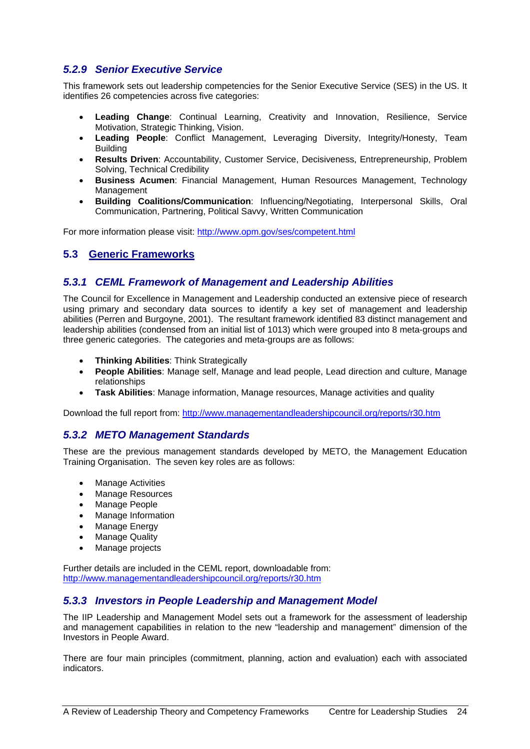# <span id="page-23-0"></span>*5.2.9 Senior Executive Service*

This framework sets out leadership competencies for the Senior Executive Service (SES) in the US. It identifies 26 competencies across five categories:

- **Leading Change**: Continual Learning, Creativity and Innovation, Resilience, Service Motivation, Strategic Thinking, Vision.
- **Leading People**: Conflict Management, Leveraging Diversity, Integrity/Honesty, Team **Building**
- **Results Driven**: Accountability, Customer Service, Decisiveness, Entrepreneurship, Problem Solving, Technical Credibility
- **Business Acumen**: Financial Management, Human Resources Management, Technology Management
- **Building Coalitions/Communication**: Influencing/Negotiating, Interpersonal Skills, Oral Communication, Partnering, Political Savvy, Written Communication

For more information please visit:<http://www.opm.gov/ses/competent.html>

# **5.3 Generic Frameworks**

## *5.3.1 CEML Framework of Management and Leadership Abilities*

The Council for Excellence in Management and Leadership conducted an extensive piece of research using primary and secondary data sources to identify a key set of management and leadership abilities (Perren and Burgoyne, 2001). The resultant framework identified 83 distinct management and leadership abilities (condensed from an initial list of 1013) which were grouped into 8 meta-groups and three generic categories. The categories and meta-groups are as follows:

- **Thinking Abilities**: Think Strategically
- **People Abilities**: Manage self, Manage and lead people, Lead direction and culture, Manage relationships
- **Task Abilities**: Manage information, Manage resources, Manage activities and quality

Download the full report from: <http://www.managementandleadershipcouncil.org/reports/r30.htm>

### *5.3.2 METO Management Standards*

These are the previous management standards developed by METO, the Management Education Training Organisation. The seven key roles are as follows:

- Manage Activities
- Manage Resources
- Manage People
- Manage Information
- Manage Energy
- Manage Quality
- Manage projects

Further details are included in the CEML report, downloadable from: <http://www.managementandleadershipcouncil.org/reports/r30.htm>

## *5.3.3 Investors in People Leadership and Management Model*

The IIP Leadership and Management Model sets out a framework for the assessment of leadership and management capabilities in relation to the new "leadership and management" dimension of the Investors in People Award.

There are four main principles (commitment, planning, action and evaluation) each with associated indicators.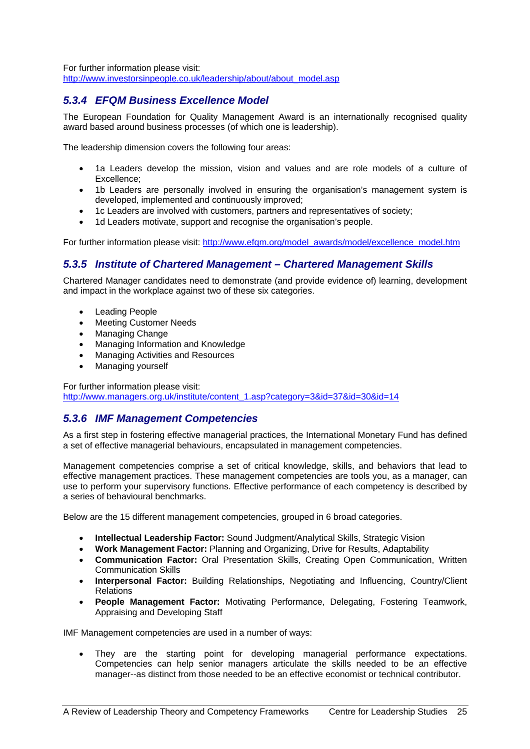<span id="page-24-0"></span>For further information please visit: [http://www.investorsinpeople.co.uk/leadership/about/about\\_model.asp](http://www.investorsinpeople.co.uk/leadership/about/about_model.asp)

# *5.3.4 EFQM Business Excellence Model*

The European Foundation for Quality Management Award is an internationally recognised quality award based around business processes (of which one is leadership).

The leadership dimension covers the following four areas:

- 1a Leaders develop the mission, vision and values and are role models of a culture of Excellence;
- 1b Leaders are personally involved in ensuring the organisation's management system is developed, implemented and continuously improved;
- 1c Leaders are involved with customers, partners and representatives of society;
- 1d Leaders motivate, support and recognise the organisation's people.

For further information please visit: [http://www.efqm.org/model\\_awards/model/excellence\\_model.htm](http://www.efqm.org/model_awards/model/excellence_model.htm) 

### *5.3.5 Institute of Chartered Management – Chartered Management Skills*

Chartered Manager candidates need to demonstrate (and provide evidence of) learning, development and impact in the workplace against two of these six categories.

- Leading People
- Meeting Customer Needs
- Managing Change
- Managing Information and Knowledge
- Managing Activities and Resources
- Managing yourself

For further information please visit:

http://www.managers.org.uk/institute/content\_1.asp?category=3&id=37&id=30&id=14

## *5.3.6 IMF Management Competencies*

As a first step in fostering effective managerial practices, the International Monetary Fund has defined a set of effective managerial behaviours, encapsulated in management competencies.

Management competencies comprise a set of critical knowledge, skills, and behaviors that lead to effective management practices. These management competencies are tools you, as a manager, can use to perform your supervisory functions. Effective performance of each competency is described by a series of behavioural benchmarks.

Below are the 15 different management competencies, grouped in 6 broad categories.

- **Intellectual Leadership Factor:** Sound Judgment/Analytical Skills, Strategic Vision
- **Work Management Factor:** Planning and Organizing, Drive for Results, Adaptability
- **Communication Factor:** Oral Presentation Skills, Creating Open Communication, Written Communication Skills
- **Interpersonal Factor:** Building Relationships, Negotiating and Influencing, Country/Client Relations
- **People Management Factor:** Motivating Performance, Delegating, Fostering Teamwork, Appraising and Developing Staff

IMF Management competencies are used in a number of ways:

• They are the starting point for developing managerial performance expectations. Competencies can help senior managers articulate the skills needed to be an effective manager--as distinct from those needed to be an effective economist or technical contributor.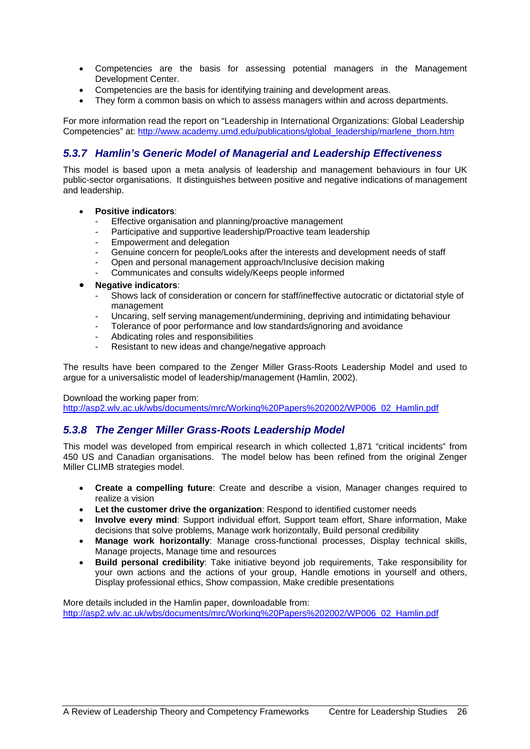- <span id="page-25-0"></span>• Competencies are the basis for assessing potential managers in the Management Development Center.
- Competencies are the basis for identifying training and development areas.
- They form a common basis on which to assess managers within and across departments.

For more information read the report on "Leadership in International Organizations: Global Leadership Competencies" at: [http://www.academy.umd.edu/publications/global\\_leadership/marlene\\_thorn.htm](http://www.academy.umd.edu/publications/global_leadership/marlene_thorn.htm)

## *5.3.7 Hamlin's Generic Model of Managerial and Leadership Effectiveness*

This model is based upon a meta analysis of leadership and management behaviours in four UK public-sector organisations. It distinguishes between positive and negative indications of management and leadership.

- **Positive indicators**:
	- Effective organisation and planning/proactive management
	- Participative and supportive leadership/Proactive team leadership
	- Empowerment and delegation
	- Genuine concern for people/Looks after the interests and development needs of staff
	- Open and personal management approach/Inclusive decision making
	- Communicates and consults widely/Keeps people informed
- **Negative indicators**:
	- Shows lack of consideration or concern for staff/ineffective autocratic or dictatorial style of management
	- Uncaring, self serving management/undermining, depriving and intimidating behaviour
	- Tolerance of poor performance and low standards/ignoring and avoidance
	- Abdicating roles and responsibilities
	- Resistant to new ideas and change/negative approach

The results have been compared to the Zenger Miller Grass-Roots Leadership Model and used to argue for a universalistic model of leadership/management (Hamlin, 2002).

#### Download the working paper from:

[http://asp2.wlv.ac.uk/wbs/documents/mrc/Working%20Papers%202002/WP006\\_02\\_Hamlin.pdf](http://asp2.wlv.ac.uk/wbs/documents/mrc/Working Papers 2002/WP006_02_Hamlin.pdf)

### *5.3.8 The Zenger Miller Grass-Roots Leadership Model*

This model was developed from empirical research in which collected 1,871 "critical incidents" from 450 US and Canadian organisations. The model below has been refined from the original Zenger Miller CLIMB strategies model.

- **Create a compelling future**: Create and describe a vision, Manager changes required to realize a vision
- **Let the customer drive the organization**: Respond to identified customer needs
- **Involve every mind**: Support individual effort, Support team effort, Share information, Make decisions that solve problems, Manage work horizontally, Build personal credibility
- **Manage work horizontally**: Manage cross-functional processes, Display technical skills, Manage projects, Manage time and resources
- **Build personal credibility**: Take initiative beyond job requirements, Take responsibility for your own actions and the actions of your group, Handle emotions in yourself and others, Display professional ethics, Show compassion, Make credible presentations

More details included in the Hamlin paper, downloadable from: [http://asp2.wlv.ac.uk/wbs/documents/mrc/Working%20Papers%202002/WP006\\_02\\_Hamlin.pdf](http://asp2.wlv.ac.uk/wbs/documents/mrc/Working Papers 2002/WP006_02_Hamlin.pdf)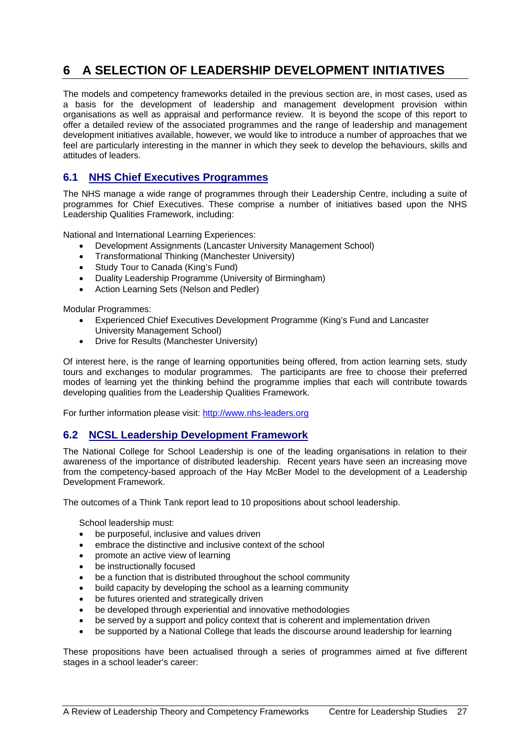# <span id="page-26-0"></span>**6 A SELECTION OF LEADERSHIP DEVELOPMENT INITIATIVES**

The models and competency frameworks detailed in the previous section are, in most cases, used as a basis for the development of leadership and management development provision within organisations as well as appraisal and performance review. It is beyond the scope of this report to offer a detailed review of the associated programmes and the range of leadership and management development initiatives available, however, we would like to introduce a number of approaches that we feel are particularly interesting in the manner in which they seek to develop the behaviours, skills and attitudes of leaders.

# **6.1 NHS Chief Executives Programmes**

The NHS manage a wide range of programmes through their Leadership Centre, including a suite of programmes for Chief Executives. These comprise a number of initiatives based upon the NHS Leadership Qualities Framework, including:

National and International Learning Experiences:

- Development Assignments (Lancaster University Management School)
- Transformational Thinking (Manchester University)
- Study Tour to Canada (King's Fund)
- Duality Leadership Programme (University of Birmingham)
- Action Learning Sets (Nelson and Pedler)

Modular Programmes:

- Experienced Chief Executives Development Programme (King's Fund and Lancaster University Management School)
- Drive for Results (Manchester University)

Of interest here, is the range of learning opportunities being offered, from action learning sets, study tours and exchanges to modular programmes. The participants are free to choose their preferred modes of learning yet the thinking behind the programme implies that each will contribute towards developing qualities from the Leadership Qualities Framework.

For further information please visit: [http://www.nhs-leaders.org](http://www.nhs-leaders.org/) 

### **6.2 NCSL Leadership Development Framework**

The National College for School Leadership is one of the leading organisations in relation to their awareness of the importance of distributed leadership. Recent years have seen an increasing move from the competency-based approach of the Hay McBer Model to the development of a Leadership Development Framework.

The outcomes of a Think Tank report lead to 10 propositions about school leadership.

School leadership must:

- be purposeful, inclusive and values driven
- embrace the distinctive and inclusive context of the school
- promote an active view of learning
- be instructionally focused
- be a function that is distributed throughout the school community
- build capacity by developing the school as a learning community
- be futures oriented and strategically driven
- be developed through experiential and innovative methodologies
- be served by a support and policy context that is coherent and implementation driven
- be supported by a National College that leads the discourse around leadership for learning

These propositions have been actualised through a series of programmes aimed at five different stages in a school leader's career: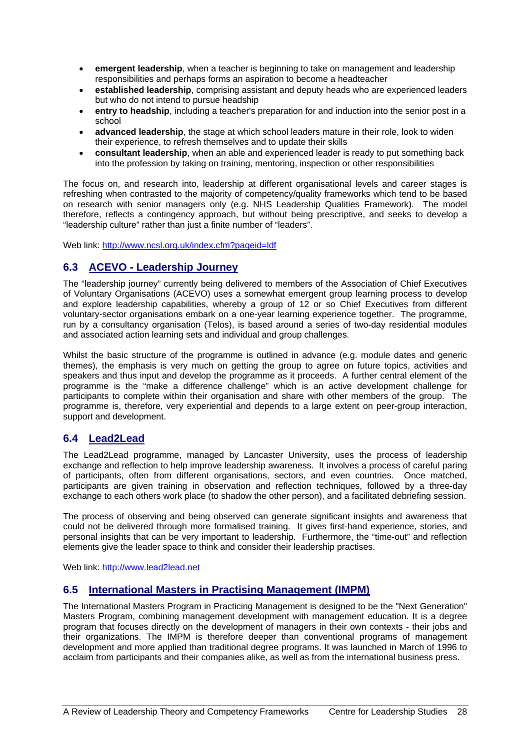- <span id="page-27-0"></span>• **emergent leadership**, when a teacher is beginning to take on management and leadership responsibilities and perhaps forms an aspiration to become a headteacher
- **established leadership**, comprising assistant and deputy heads who are experienced leaders but who do not intend to pursue headship
- **entry to headship**, including a teacher's preparation for and induction into the senior post in a school
- **advanced leadership**, the stage at which school leaders mature in their role, look to widen their experience, to refresh themselves and to update their skills
- **consultant leadership**, when an able and experienced leader is ready to put something back into the profession by taking on training, mentoring, inspection or other responsibilities

The focus on, and research into, leadership at different organisational levels and career stages is refreshing when contrasted to the majority of competency/quality frameworks which tend to be based on research with senior managers only (e.g. NHS Leadership Qualities Framework). The model therefore, reflects a contingency approach, but without being prescriptive, and seeks to develop a "leadership culture" rather than just a finite number of "leaders".

Web link: <http://www.ncsl.org.uk/index.cfm?pageid=ldf>

## **6.3 ACEVO - Leadership Journey**

The "leadership journey" currently being delivered to members of the Association of Chief Executives of Voluntary Organisations (ACEVO) uses a somewhat emergent group learning process to develop and explore leadership capabilities, whereby a group of 12 or so Chief Executives from different voluntary-sector organisations embark on a one-year learning experience together. The programme, run by a consultancy organisation (Telos), is based around a series of two-day residential modules and associated action learning sets and individual and group challenges.

Whilst the basic structure of the programme is outlined in advance (e.g. module dates and generic themes), the emphasis is very much on getting the group to agree on future topics, activities and speakers and thus input and develop the programme as it proceeds. A further central element of the programme is the "make a difference challenge" which is an active development challenge for participants to complete within their organisation and share with other members of the group. The programme is, therefore, very experiential and depends to a large extent on peer-group interaction, support and development.

## **6.4 Lead2Lead**

The Lead2Lead programme, managed by Lancaster University, uses the process of leadership exchange and reflection to help improve leadership awareness. It involves a process of careful paring of participants, often from different organisations, sectors, and even countries. Once matched, participants are given training in observation and reflection techniques, followed by a three-day exchange to each others work place (to shadow the other person), and a facilitated debriefing session.

The process of observing and being observed can generate significant insights and awareness that could not be delivered through more formalised training. It gives first-hand experience, stories, and personal insights that can be very important to leadership. Furthermore, the "time-out" and reflection elements give the leader space to think and consider their leadership practises.

Web link: [http://www.lead2lead.net](http://www.lead2lead.net/)

### **6.5 International Masters in Practising Management (IMPM)**

The International Masters Program in Practicing Management is designed to be the "Next Generation" Masters Program, combining management development with management education. It is a degree program that focuses directly on the development of managers in their own contexts - their jobs and their organizations. The IMPM is therefore deeper than conventional programs of management development and more applied than traditional degree programs. It was launched in March of 1996 to acclaim from participants and their companies alike, as well as from the international business press.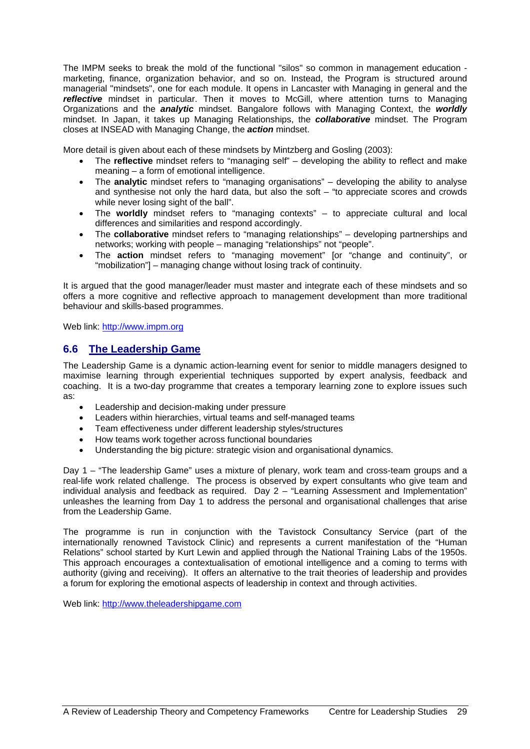<span id="page-28-0"></span>The IMPM seeks to break the mold of the functional "silos" so common in management education marketing, finance, organization behavior, and so on. Instead, the Program is structured around managerial "mindsets", one for each module. It opens in Lancaster with Managing in general and the *reflective* mindset in particular. Then it moves to McGill, where attention turns to Managing Organizations and the *analytic* mindset. Bangalore follows with Managing Context, the *worldly* mindset. In Japan, it takes up Managing Relationships, the *collaborative* mindset. The Program closes at INSEAD with Managing Change, the *action* mindset.

More detail is given about each of these mindsets by Mintzberg and Gosling (2003):

- The **reflective** mindset refers to "managing self" developing the ability to reflect and make meaning – a form of emotional intelligence.
- The **analytic** mindset refers to "managing organisations" developing the ability to analyse and synthesise not only the hard data, but also the soft – "to appreciate scores and crowds while never losing sight of the ball".
- The **worldly** mindset refers to "managing contexts" to appreciate cultural and local differences and similarities and respond accordingly.
- The **collaborative** mindset refers to "managing relationships" developing partnerships and networks; working with people – managing "relationships" not "people".
- The **action** mindset refers to "managing movement" [or "change and continuity", or "mobilization"] – managing change without losing track of continuity.

It is argued that the good manager/leader must master and integrate each of these mindsets and so offers a more cognitive and reflective approach to management development than more traditional behaviour and skills-based programmes.

Web link: [http://www.impm.org](http://www.impm.org/) 

## **6.6 The Leadership Game**

The Leadership Game is a dynamic action-learning event for senior to middle managers designed to maximise learning through experiential techniques supported by expert analysis, feedback and coaching. It is a two-day programme that creates a temporary learning zone to explore issues such as:

- Leadership and decision-making under pressure
- Leaders within hierarchies, virtual teams and self-managed teams
- Team effectiveness under different leadership styles/structures
- How teams work together across functional boundaries
- Understanding the big picture: strategic vision and organisational dynamics.

Day 1 – "The leadership Game" uses a mixture of plenary, work team and cross-team groups and a real-life work related challenge. The process is observed by expert consultants who give team and individual analysis and feedback as required. Day 2 – "Learning Assessment and Implementation" unleashes the learning from Day 1 to address the personal and organisational challenges that arise from the Leadership Game.

The programme is run in conjunction with the Tavistock Consultancy Service (part of the internationally renowned Tavistock Clinic) and represents a current manifestation of the "Human Relations" school started by Kurt Lewin and applied through the National Training Labs of the 1950s. This approach encourages a contextualisation of emotional intelligence and a coming to terms with authority (giving and receiving). It offers an alternative to the trait theories of leadership and provides a forum for exploring the emotional aspects of leadership in context and through activities.

Web link: [http://www.theleadershipgame.com](http://www.theleadershipgame.com/)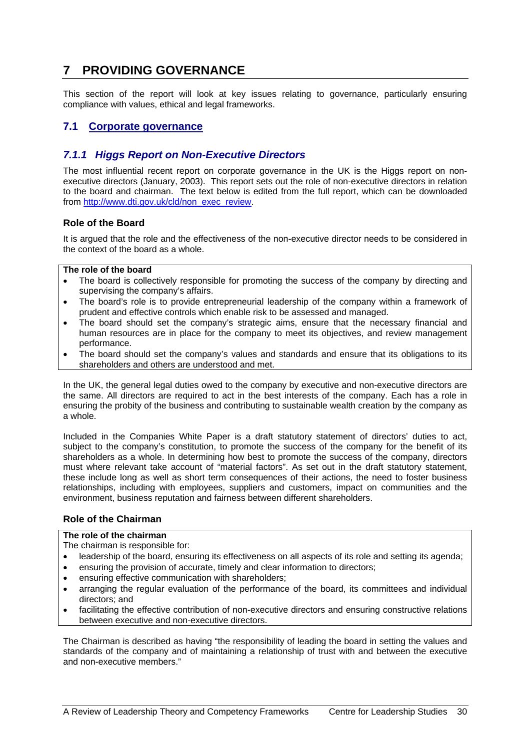# <span id="page-29-0"></span>**7 PROVIDING GOVERNANCE**

This section of the report will look at key issues relating to governance, particularly ensuring compliance with values, ethical and legal frameworks.

### **7.1 Corporate governance**

### *7.1.1 Higgs Report on Non-Executive Directors*

The most influential recent report on corporate governance in the UK is the Higgs report on nonexecutive directors (January, 2003). This report sets out the role of non-executive directors in relation to the board and chairman. The text below is edited from the full report, which can be downloaded from [http://www.dti.gov.uk/cld/non\\_exec\\_review](http://www.dti.gov.uk/cld/non_exec_review).

#### **Role of the Board**

It is argued that the role and the effectiveness of the non-executive director needs to be considered in the context of the board as a whole.

### **The role of the board**

- The board is collectively responsible for promoting the success of the company by directing and supervising the company's affairs.
- The board's role is to provide entrepreneurial leadership of the company within a framework of prudent and effective controls which enable risk to be assessed and managed.
- The board should set the company's strategic aims, ensure that the necessary financial and human resources are in place for the company to meet its objectives, and review management performance.
- The board should set the company's values and standards and ensure that its obligations to its shareholders and others are understood and met.

In the UK, the general legal duties owed to the company by executive and non-executive directors are the same. All directors are required to act in the best interests of the company. Each has a role in ensuring the probity of the business and contributing to sustainable wealth creation by the company as a whole.

Included in the Companies White Paper is a draft statutory statement of directors' duties to act, subject to the company's constitution, to promote the success of the company for the benefit of its shareholders as a whole. In determining how best to promote the success of the company, directors must where relevant take account of "material factors". As set out in the draft statutory statement, these include long as well as short term consequences of their actions, the need to foster business relationships, including with employees, suppliers and customers, impact on communities and the environment, business reputation and fairness between different shareholders.

#### **Role of the Chairman**

#### **The role of the chairman**

The chairman is responsible for:

- leadership of the board, ensuring its effectiveness on all aspects of its role and setting its agenda;
- ensuring the provision of accurate, timely and clear information to directors;
- ensuring effective communication with shareholders;
- arranging the regular evaluation of the performance of the board, its committees and individual directors; and
- facilitating the effective contribution of non-executive directors and ensuring constructive relations between executive and non-executive directors.

The Chairman is described as having "the responsibility of leading the board in setting the values and standards of the company and of maintaining a relationship of trust with and between the executive and non-executive members."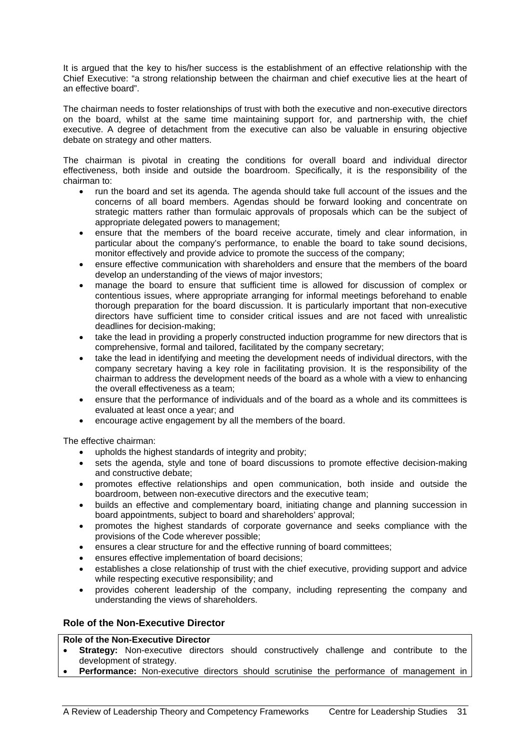It is argued that the key to his/her success is the establishment of an effective relationship with the Chief Executive: "a strong relationship between the chairman and chief executive lies at the heart of an effective board".

The chairman needs to foster relationships of trust with both the executive and non-executive directors on the board, whilst at the same time maintaining support for, and partnership with, the chief executive. A degree of detachment from the executive can also be valuable in ensuring objective debate on strategy and other matters.

The chairman is pivotal in creating the conditions for overall board and individual director effectiveness, both inside and outside the boardroom. Specifically, it is the responsibility of the chairman to:

- run the board and set its agenda. The agenda should take full account of the issues and the concerns of all board members. Agendas should be forward looking and concentrate on strategic matters rather than formulaic approvals of proposals which can be the subject of appropriate delegated powers to management;
- ensure that the members of the board receive accurate, timely and clear information, in particular about the company's performance, to enable the board to take sound decisions, monitor effectively and provide advice to promote the success of the company;
- ensure effective communication with shareholders and ensure that the members of the board develop an understanding of the views of major investors;
- manage the board to ensure that sufficient time is allowed for discussion of complex or contentious issues, where appropriate arranging for informal meetings beforehand to enable thorough preparation for the board discussion. It is particularly important that non-executive directors have sufficient time to consider critical issues and are not faced with unrealistic deadlines for decision-making;
- take the lead in providing a properly constructed induction programme for new directors that is comprehensive, formal and tailored, facilitated by the company secretary;
- take the lead in identifying and meeting the development needs of individual directors, with the company secretary having a key role in facilitating provision. It is the responsibility of the chairman to address the development needs of the board as a whole with a view to enhancing the overall effectiveness as a team;
- ensure that the performance of individuals and of the board as a whole and its committees is evaluated at least once a year; and
- encourage active engagement by all the members of the board.

The effective chairman:

- upholds the highest standards of integrity and probity;
- sets the agenda, style and tone of board discussions to promote effective decision-making and constructive debate;
- promotes effective relationships and open communication, both inside and outside the boardroom, between non-executive directors and the executive team;
- builds an effective and complementary board, initiating change and planning succession in board appointments, subject to board and shareholders' approval;
- promotes the highest standards of corporate governance and seeks compliance with the provisions of the Code wherever possible;
- ensures a clear structure for and the effective running of board committees;
- ensures effective implementation of board decisions;
- establishes a close relationship of trust with the chief executive, providing support and advice while respecting executive responsibility; and
- provides coherent leadership of the company, including representing the company and understanding the views of shareholders.

### **Role of the Non-Executive Director**

#### **Role of the Non-Executive Director**

- **Strategy:** Non-executive directors should constructively challenge and contribute to the development of strategy.
- **Performance:** Non-executive directors should scrutinise the performance of management in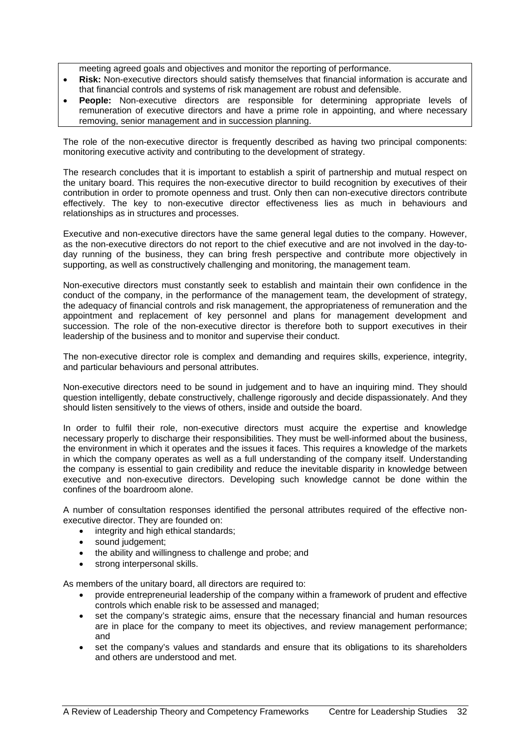meeting agreed goals and objectives and monitor the reporting of performance.

- **Risk:** Non-executive directors should satisfy themselves that financial information is accurate and that financial controls and systems of risk management are robust and defensible.
- **People:** Non-executive directors are responsible for determining appropriate levels of remuneration of executive directors and have a prime role in appointing, and where necessary removing, senior management and in succession planning.

The role of the non-executive director is frequently described as having two principal components: monitoring executive activity and contributing to the development of strategy.

The research concludes that it is important to establish a spirit of partnership and mutual respect on the unitary board. This requires the non-executive director to build recognition by executives of their contribution in order to promote openness and trust. Only then can non-executive directors contribute effectively. The key to non-executive director effectiveness lies as much in behaviours and relationships as in structures and processes.

Executive and non-executive directors have the same general legal duties to the company. However, as the non-executive directors do not report to the chief executive and are not involved in the day-today running of the business, they can bring fresh perspective and contribute more objectively in supporting, as well as constructively challenging and monitoring, the management team.

Non-executive directors must constantly seek to establish and maintain their own confidence in the conduct of the company, in the performance of the management team, the development of strategy, the adequacy of financial controls and risk management, the appropriateness of remuneration and the appointment and replacement of key personnel and plans for management development and succession. The role of the non-executive director is therefore both to support executives in their leadership of the business and to monitor and supervise their conduct.

The non-executive director role is complex and demanding and requires skills, experience, integrity, and particular behaviours and personal attributes.

Non-executive directors need to be sound in judgement and to have an inquiring mind. They should question intelligently, debate constructively, challenge rigorously and decide dispassionately. And they should listen sensitively to the views of others, inside and outside the board.

In order to fulfil their role, non-executive directors must acquire the expertise and knowledge necessary properly to discharge their responsibilities. They must be well-informed about the business, the environment in which it operates and the issues it faces. This requires a knowledge of the markets in which the company operates as well as a full understanding of the company itself. Understanding the company is essential to gain credibility and reduce the inevitable disparity in knowledge between executive and non-executive directors. Developing such knowledge cannot be done within the confines of the boardroom alone.

A number of consultation responses identified the personal attributes required of the effective nonexecutive director. They are founded on:

- integrity and high ethical standards;
- sound judgement;
- the ability and willingness to challenge and probe; and
- strong interpersonal skills.

As members of the unitary board, all directors are required to:

- provide entrepreneurial leadership of the company within a framework of prudent and effective controls which enable risk to be assessed and managed;
- set the company's strategic aims, ensure that the necessary financial and human resources are in place for the company to meet its objectives, and review management performance; and
- set the company's values and standards and ensure that its obligations to its shareholders and others are understood and met.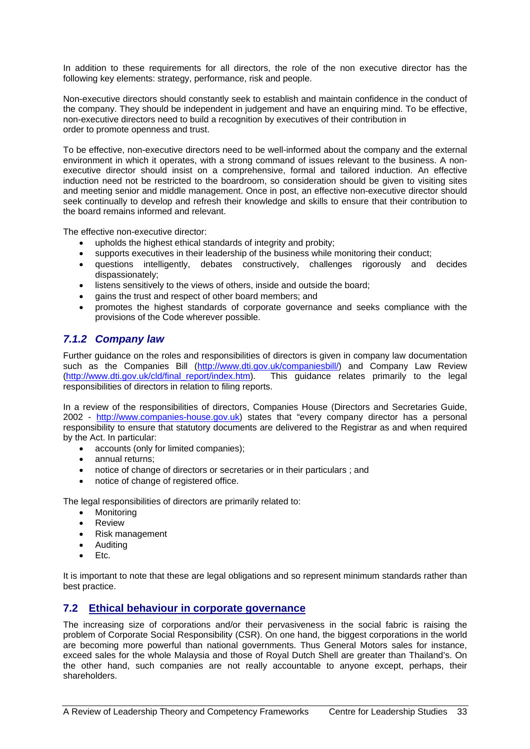<span id="page-32-0"></span>In addition to these requirements for all directors, the role of the non executive director has the following key elements: strategy, performance, risk and people.

Non-executive directors should constantly seek to establish and maintain confidence in the conduct of the company. They should be independent in judgement and have an enquiring mind. To be effective, non-executive directors need to build a recognition by executives of their contribution in order to promote openness and trust.

To be effective, non-executive directors need to be well-informed about the company and the external environment in which it operates, with a strong command of issues relevant to the business. A nonexecutive director should insist on a comprehensive, formal and tailored induction. An effective induction need not be restricted to the boardroom, so consideration should be given to visiting sites and meeting senior and middle management. Once in post, an effective non-executive director should seek continually to develop and refresh their knowledge and skills to ensure that their contribution to the board remains informed and relevant.

The effective non-executive director:

- upholds the highest ethical standards of integrity and probity;
- supports executives in their leadership of the business while monitoring their conduct;
- questions intelligently, debates constructively, challenges rigorously and decides dispassionately;
- listens sensitively to the views of others, inside and outside the board;
- gains the trust and respect of other board members; and
- promotes the highest standards of corporate governance and seeks compliance with the provisions of the Code wherever possible.

### *7.1.2 Company law*

Further guidance on the roles and responsibilities of directors is given in company law documentation such as the Companies Bill (<http://www.dti.gov.uk/companiesbill/>) and Company Law Review [\(http://www.dti.gov.uk/cld/final\\_report/index.htm\)](http://www.dti.gov.uk/cld/final_report/index.htm). This guidance relates primarily to the legal responsibilities of directors in relation to filing reports.

In a review of the responsibilities of directors, Companies House (Directors and Secretaries Guide, 2002 - [http://www.companies-house.gov.uk\)](http://www.companies-house.gov.uk/) states that "every company director has a personal responsibility to ensure that statutory documents are delivered to the Registrar as and when required by the Act. In particular:

- accounts (only for limited companies);
- annual returns:
- notice of change of directors or secretaries or in their particulars ; and
- notice of change of registered office.

The legal responsibilities of directors are primarily related to:

- Monitoring
- Review
- Risk management
- Auditing
- Etc.

It is important to note that these are legal obligations and so represent minimum standards rather than best practice.

## **7.2 Ethical behaviour in corporate governance**

The increasing size of corporations and/or their pervasiveness in the social fabric is raising the problem of Corporate Social Responsibility (CSR). On one hand, the biggest corporations in the world are becoming more powerful than national governments. Thus General Motors sales for instance, exceed sales for the whole Malaysia and those of Royal Dutch Shell are greater than Thailand's. On the other hand, such companies are not really accountable to anyone except, perhaps, their shareholders.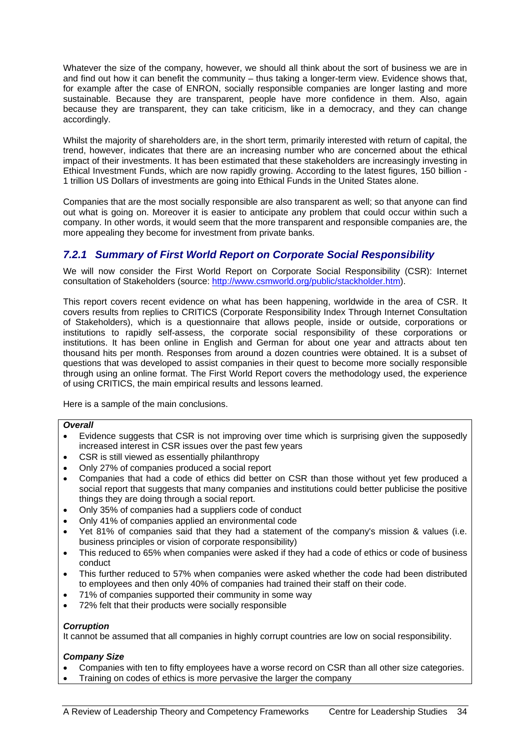<span id="page-33-0"></span>Whatever the size of the company, however, we should all think about the sort of business we are in and find out how it can benefit the community – thus taking a longer-term view. Evidence shows that, for example after the case of ENRON, socially responsible companies are longer lasting and more sustainable. Because they are transparent, people have more confidence in them. Also, again because they are transparent, they can take criticism, like in a democracy, and they can change accordingly.

Whilst the majority of shareholders are, in the short term, primarily interested with return of capital, the trend, however, indicates that there are an increasing number who are concerned about the ethical impact of their investments. It has been estimated that these stakeholders are increasingly investing in Ethical Investment Funds, which are now rapidly growing. According to the latest figures, 150 billion - 1 trillion US Dollars of investments are going into Ethical Funds in the United States alone.

Companies that are the most socially responsible are also transparent as well; so that anyone can find out what is going on. Moreover it is easier to anticipate any problem that could occur within such a company. In other words, it would seem that the more transparent and responsible companies are, the more appealing they become for investment from private banks.

# *7.2.1 Summary of First World Report on Corporate Social Responsibility*

We will now consider the First World Report on Corporate Social Responsibility (CSR): Internet consultation of Stakeholders (source:<http://www.csmworld.org/public/stackholder.htm>).

This report covers recent evidence on what has been happening, worldwide in the area of CSR. It covers results from replies to CRITICS (Corporate Responsibility Index Through Internet Consultation of Stakeholders), which is a questionnaire that allows people, inside or outside, corporations or institutions to rapidly self-assess, the corporate social responsibility of these corporations or institutions. It has been online in English and German for about one year and attracts about ten thousand hits per month. Responses from around a dozen countries were obtained. It is a subset of questions that was developed to assist companies in their quest to become more socially responsible through using an online format. The First World Report covers the methodology used, the experience of using CRITICS, the main empirical results and lessons learned.

Here is a sample of the main conclusions.

#### *Overall*

- Evidence suggests that CSR is not improving over time which is surprising given the supposedly increased interest in CSR issues over the past few years
- CSR is still viewed as essentially philanthropy
- Only 27% of companies produced a social report
- Companies that had a code of ethics did better on CSR than those without yet few produced a social report that suggests that many companies and institutions could better publicise the positive things they are doing through a social report.
- Only 35% of companies had a suppliers code of conduct
- Only 41% of companies applied an environmental code
- Yet 81% of companies said that they had a statement of the company's mission & values (i.e. business principles or vision of corporate responsibility)
- This reduced to 65% when companies were asked if they had a code of ethics or code of business conduct
- This further reduced to 57% when companies were asked whether the code had been distributed to employees and then only 40% of companies had trained their staff on their code.
- 71% of companies supported their community in some way
- 72% felt that their products were socially responsible

#### *Corruption*

It cannot be assumed that all companies in highly corrupt countries are low on social responsibility.

#### *Company Size*

- Companies with ten to fifty employees have a worse record on CSR than all other size categories.
- Training on codes of ethics is more pervasive the larger the company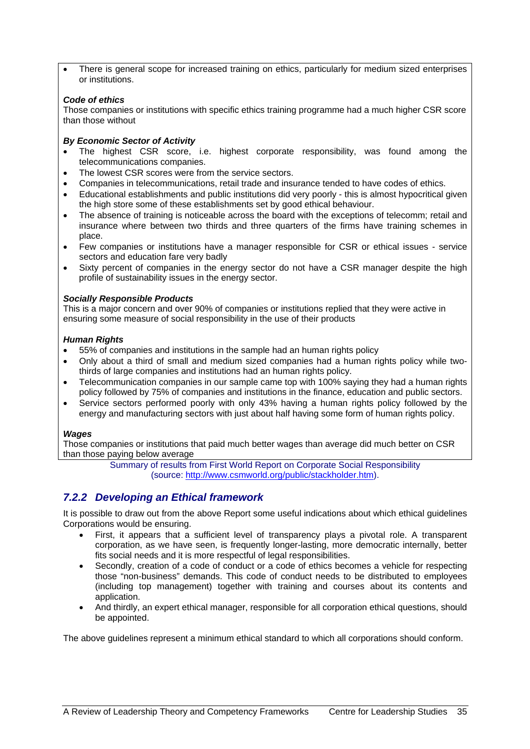<span id="page-34-0"></span>There is general scope for increased training on ethics, particularly for medium sized enterprises or institutions.

### *Code of ethics*

Those companies or institutions with specific ethics training programme had a much higher CSR score than those without

### *By Economic Sector of Activity*

- The highest CSR score, i.e. highest corporate responsibility, was found among the telecommunications companies.
- The lowest CSR scores were from the service sectors.
- Companies in telecommunications, retail trade and insurance tended to have codes of ethics.
- Educational establishments and public institutions did very poorly this is almost hypocritical given the high store some of these establishments set by good ethical behaviour.
- The absence of training is noticeable across the board with the exceptions of telecomm; retail and insurance where between two thirds and three quarters of the firms have training schemes in place.
- Few companies or institutions have a manager responsible for CSR or ethical issues service sectors and education fare very badly
- Sixty percent of companies in the energy sector do not have a CSR manager despite the high profile of sustainability issues in the energy sector.

#### *Socially Responsible Products*

This is a major concern and over 90% of companies or institutions replied that they were active in ensuring some measure of social responsibility in the use of their products

### *Human Rights*

- 55% of companies and institutions in the sample had an human rights policy
- Only about a third of small and medium sized companies had a human rights policy while twothirds of large companies and institutions had an human rights policy.
- Telecommunication companies in our sample came top with 100% saying they had a human rights policy followed by 75% of companies and institutions in the finance, education and public sectors.
- Service sectors performed poorly with only 43% having a human rights policy followed by the energy and manufacturing sectors with just about half having some form of human rights policy.

#### *Wages*

Those companies or institutions that paid much better wages than average did much better on CSR than those paying below average

Summary of results from First World Report on Corporate Social Responsibility (source: [http://www.csmworld.org/public/stackholder.htm\)](http://www.csmworld.org/public/stackholder.htm).

# *7.2.2 Developing an Ethical framework*

It is possible to draw out from the above Report some useful indications about which ethical guidelines Corporations would be ensuring.

- First, it appears that a sufficient level of transparency plays a pivotal role. A transparent corporation, as we have seen, is frequently longer-lasting, more democratic internally, better fits social needs and it is more respectful of legal responsibilities.
- Secondly, creation of a code of conduct or a code of ethics becomes a vehicle for respecting those "non-business" demands. This code of conduct needs to be distributed to employees (including top management) together with training and courses about its contents and application.
- And thirdly, an expert ethical manager, responsible for all corporation ethical questions, should be appointed.

The above guidelines represent a minimum ethical standard to which all corporations should conform.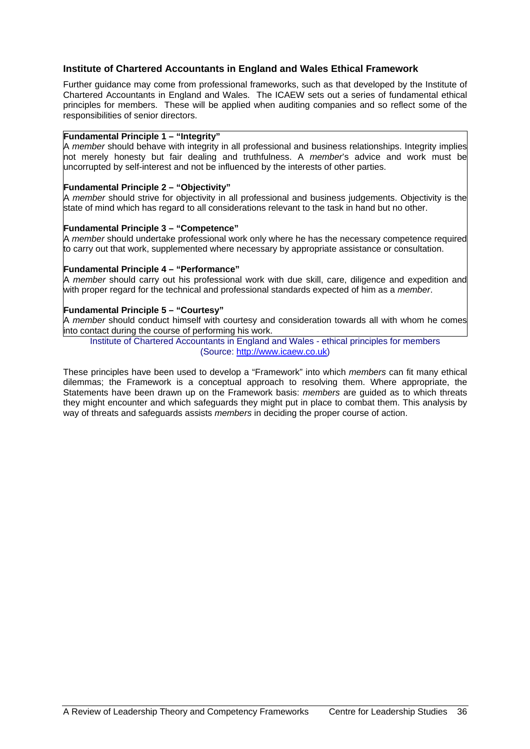### **Institute of Chartered Accountants in England and Wales Ethical Framework**

Further guidance may come from professional frameworks, such as that developed by the Institute of Chartered Accountants in England and Wales. The ICAEW sets out a series of fundamental ethical principles for members. These will be applied when auditing companies and so reflect some of the responsibilities of senior directors.

#### **Fundamental Principle 1 – "Integrity"**

A *member* should behave with integrity in all professional and business relationships. Integrity implies not merely honesty but fair dealing and truthfulness. A *member*'s advice and work must be uncorrupted by self-interest and not be influenced by the interests of other parties.

#### **Fundamental Principle 2 – "Objectivity"**

A *member* should strive for objectivity in all professional and business judgements. Objectivity is the state of mind which has regard to all considerations relevant to the task in hand but no other.

#### **Fundamental Principle 3 – "Competence"**

A *member* should undertake professional work only where he has the necessary competence required to carry out that work, supplemented where necessary by appropriate assistance or consultation.

#### **Fundamental Principle 4 – "Performance"**

A *member* should carry out his professional work with due skill, care, diligence and expedition and with proper regard for the technical and professional standards expected of him as a *member*.

### **Fundamental Principle 5 – "Courtesy"**

A *member* should conduct himself with courtesy and consideration towards all with whom he comes into contact during the course of performing his work.

Institute of Chartered Accountants in England and Wales - ethical principles for members (Source: [http://www.icaew.co.uk](http://www.icaew.co.uk/))

These principles have been used to develop a "Framework" into which *members* can fit many ethical dilemmas; the Framework is a conceptual approach to resolving them. Where appropriate, the Statements have been drawn up on the Framework basis: *members* are guided as to which threats they might encounter and which safeguards they might put in place to combat them. This analysis by way of threats and safeguards assists *members* in deciding the proper course of action.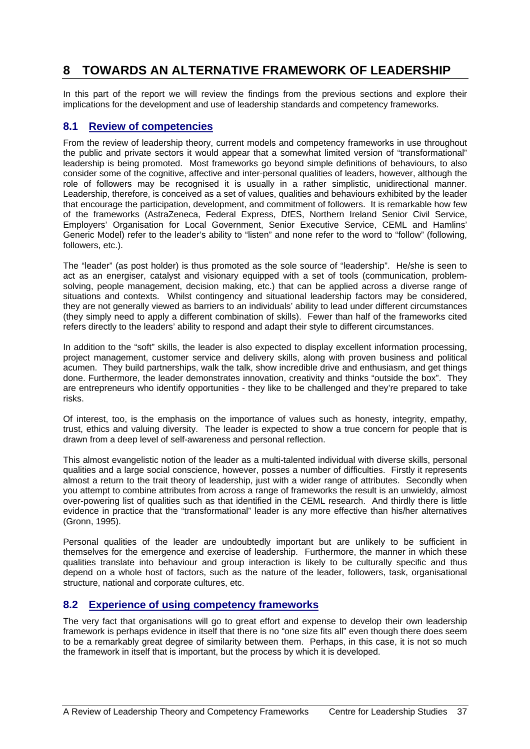# <span id="page-36-0"></span>**8 TOWARDS AN ALTERNATIVE FRAMEWORK OF LEADERSHIP**

In this part of the report we will review the findings from the previous sections and explore their implications for the development and use of leadership standards and competency frameworks.

### **8.1 Review of competencies**

From the review of leadership theory, current models and competency frameworks in use throughout the public and private sectors it would appear that a somewhat limited version of "transformational" leadership is being promoted. Most frameworks go beyond simple definitions of behaviours, to also consider some of the cognitive, affective and inter-personal qualities of leaders, however, although the role of followers may be recognised it is usually in a rather simplistic, unidirectional manner. Leadership, therefore, is conceived as a set of values, qualities and behaviours exhibited by the leader that encourage the participation, development, and commitment of followers. It is remarkable how few of the frameworks (AstraZeneca, Federal Express, DfES, Northern Ireland Senior Civil Service, Employers' Organisation for Local Government, Senior Executive Service, CEML and Hamlins' Generic Model) refer to the leader's ability to "listen" and none refer to the word to "follow" (following, followers, etc.).

The "leader" (as post holder) is thus promoted as the sole source of "leadership". He/she is seen to act as an energiser, catalyst and visionary equipped with a set of tools (communication, problemsolving, people management, decision making, etc.) that can be applied across a diverse range of situations and contexts. Whilst contingency and situational leadership factors may be considered, they are not generally viewed as barriers to an individuals' ability to lead under different circumstances (they simply need to apply a different combination of skills). Fewer than half of the frameworks cited refers directly to the leaders' ability to respond and adapt their style to different circumstances.

In addition to the "soft" skills, the leader is also expected to display excellent information processing, project management, customer service and delivery skills, along with proven business and political acumen. They build partnerships, walk the talk, show incredible drive and enthusiasm, and get things done. Furthermore, the leader demonstrates innovation, creativity and thinks "outside the box". They are entrepreneurs who identify opportunities - they like to be challenged and they're prepared to take risks.

Of interest, too, is the emphasis on the importance of values such as honesty, integrity, empathy, trust, ethics and valuing diversity. The leader is expected to show a true concern for people that is drawn from a deep level of self-awareness and personal reflection.

This almost evangelistic notion of the leader as a multi-talented individual with diverse skills, personal qualities and a large social conscience, however, posses a number of difficulties. Firstly it represents almost a return to the trait theory of leadership, just with a wider range of attributes. Secondly when you attempt to combine attributes from across a range of frameworks the result is an unwieldy, almost over-powering list of qualities such as that identified in the CEML research. And thirdly there is little evidence in practice that the "transformational" leader is any more effective than his/her alternatives (Gronn, 1995).

Personal qualities of the leader are undoubtedly important but are unlikely to be sufficient in themselves for the emergence and exercise of leadership. Furthermore, the manner in which these qualities translate into behaviour and group interaction is likely to be culturally specific and thus depend on a whole host of factors, such as the nature of the leader, followers, task, organisational structure, national and corporate cultures, etc.

# **8.2 Experience of using competency frameworks**

The very fact that organisations will go to great effort and expense to develop their own leadership framework is perhaps evidence in itself that there is no "one size fits all" even though there does seem to be a remarkably great degree of similarity between them. Perhaps, in this case, it is not so much the framework in itself that is important, but the process by which it is developed.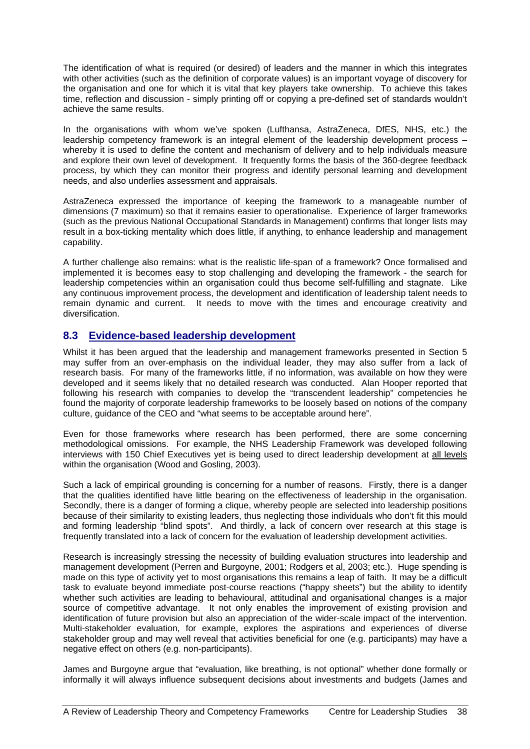<span id="page-37-0"></span>The identification of what is required (or desired) of leaders and the manner in which this integrates with other activities (such as the definition of corporate values) is an important voyage of discovery for the organisation and one for which it is vital that key players take ownership. To achieve this takes time, reflection and discussion - simply printing off or copying a pre-defined set of standards wouldn't achieve the same results.

In the organisations with whom we've spoken (Lufthansa, AstraZeneca, DfES, NHS, etc.) the leadership competency framework is an integral element of the leadership development process – whereby it is used to define the content and mechanism of delivery and to help individuals measure and explore their own level of development. It frequently forms the basis of the 360-degree feedback process, by which they can monitor their progress and identify personal learning and development needs, and also underlies assessment and appraisals.

AstraZeneca expressed the importance of keeping the framework to a manageable number of dimensions (7 maximum) so that it remains easier to operationalise. Experience of larger frameworks (such as the previous National Occupational Standards in Management) confirms that longer lists may result in a box-ticking mentality which does little, if anything, to enhance leadership and management capability.

A further challenge also remains: what is the realistic life-span of a framework? Once formalised and implemented it is becomes easy to stop challenging and developing the framework - the search for leadership competencies within an organisation could thus become self-fulfilling and stagnate. Like any continuous improvement process, the development and identification of leadership talent needs to remain dynamic and current. It needs to move with the times and encourage creativity and diversification.

## **8.3 Evidence-based leadership development**

Whilst it has been argued that the leadership and management frameworks presented in Section 5 may suffer from an over-emphasis on the individual leader, they may also suffer from a lack of research basis. For many of the frameworks little, if no information, was available on how they were developed and it seems likely that no detailed research was conducted. Alan Hooper reported that following his research with companies to develop the "transcendent leadership" competencies he found the majority of corporate leadership frameworks to be loosely based on notions of the company culture, guidance of the CEO and "what seems to be acceptable around here".

Even for those frameworks where research has been performed, there are some concerning methodological omissions. For example, the NHS Leadership Framework was developed following interviews with 150 Chief Executives yet is being used to direct leadership development at all levels within the organisation (Wood and Gosling, 2003).

Such a lack of empirical grounding is concerning for a number of reasons. Firstly, there is a danger that the qualities identified have little bearing on the effectiveness of leadership in the organisation. Secondly, there is a danger of forming a clique, whereby people are selected into leadership positions because of their similarity to existing leaders, thus neglecting those individuals who don't fit this mould and forming leadership "blind spots". And thirdly, a lack of concern over research at this stage is frequently translated into a lack of concern for the evaluation of leadership development activities.

Research is increasingly stressing the necessity of building evaluation structures into leadership and management development (Perren and Burgoyne, 2001; Rodgers et al, 2003; etc.). Huge spending is made on this type of activity yet to most organisations this remains a leap of faith. It may be a difficult task to evaluate beyond immediate post-course reactions ("happy sheets") but the ability to identify whether such activities are leading to behavioural, attitudinal and organisational changes is a major source of competitive advantage. It not only enables the improvement of existing provision and identification of future provision but also an appreciation of the wider-scale impact of the intervention. Multi-stakeholder evaluation, for example, explores the aspirations and experiences of diverse stakeholder group and may well reveal that activities beneficial for one (e.g. participants) may have a negative effect on others (e.g. non-participants).

James and Burgoyne argue that "evaluation, like breathing, is not optional" whether done formally or informally it will always influence subsequent decisions about investments and budgets (James and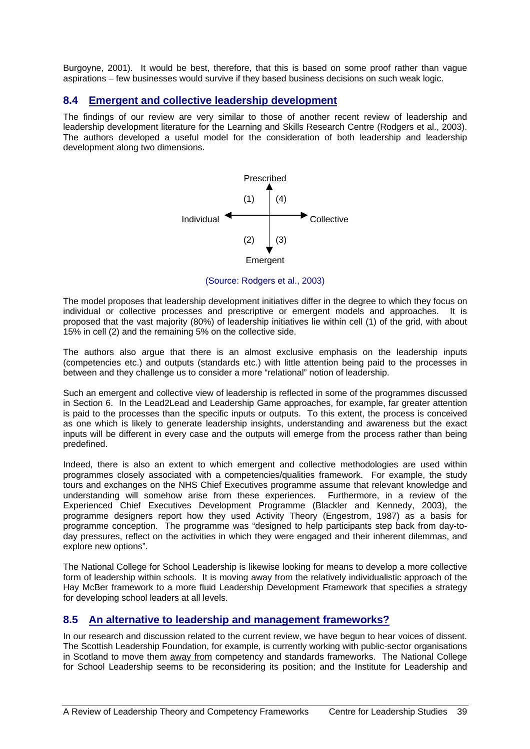<span id="page-38-0"></span>Burgoyne, 2001). It would be best, therefore, that this is based on some proof rather than vague aspirations – few businesses would survive if they based business decisions on such weak logic.

# **8.4 Emergent and collective leadership development**

The findings of our review are very similar to those of another recent review of leadership and leadership development literature for the Learning and Skills Research Centre (Rodgers et al., 2003). The authors developed a useful model for the consideration of both leadership and leadership development along two dimensions.



(Source: Rodgers et al., 2003)

The model proposes that leadership development initiatives differ in the degree to which they focus on individual or collective processes and prescriptive or emergent models and approaches. It is proposed that the vast majority (80%) of leadership initiatives lie within cell (1) of the grid, with about 15% in cell (2) and the remaining 5% on the collective side.

The authors also argue that there is an almost exclusive emphasis on the leadership inputs (competencies etc.) and outputs (standards etc.) with little attention being paid to the processes in between and they challenge us to consider a more "relational" notion of leadership.

Such an emergent and collective view of leadership is reflected in some of the programmes discussed in Section 6. In the Lead2Lead and Leadership Game approaches, for example, far greater attention is paid to the processes than the specific inputs or outputs. To this extent, the process is conceived as one which is likely to generate leadership insights, understanding and awareness but the exact inputs will be different in every case and the outputs will emerge from the process rather than being predefined.

Indeed, there is also an extent to which emergent and collective methodologies are used within programmes closely associated with a competencies/qualities framework. For example, the study tours and exchanges on the NHS Chief Executives programme assume that relevant knowledge and understanding will somehow arise from these experiences. Furthermore, in a review of the Experienced Chief Executives Development Programme (Blackler and Kennedy, 2003), the programme designers report how they used Activity Theory (Engestrom, 1987) as a basis for programme conception. The programme was "designed to help participants step back from day-today pressures, reflect on the activities in which they were engaged and their inherent dilemmas, and explore new options".

The National College for School Leadership is likewise looking for means to develop a more collective form of leadership within schools. It is moving away from the relatively individualistic approach of the Hay McBer framework to a more fluid Leadership Development Framework that specifies a strategy for developing school leaders at all levels.

## **8.5 An alternative to leadership and management frameworks?**

In our research and discussion related to the current review, we have begun to hear voices of dissent. The Scottish Leadership Foundation, for example, is currently working with public-sector organisations in Scotland to move them away from competency and standards frameworks. The National College for School Leadership seems to be reconsidering its position; and the Institute for Leadership and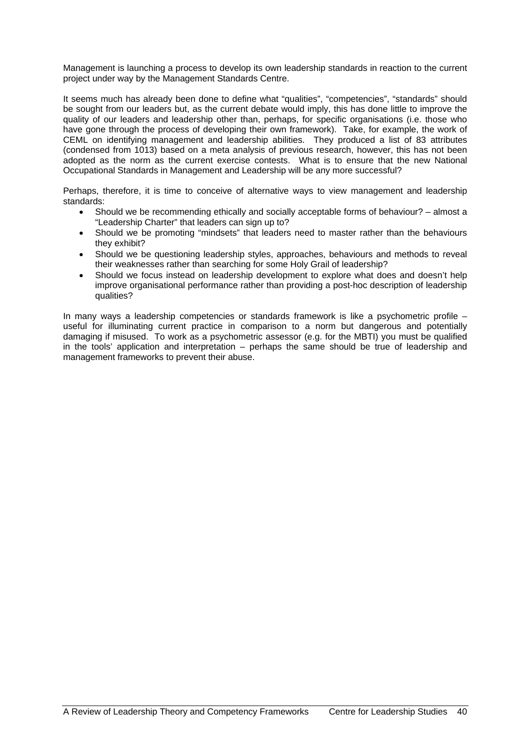Management is launching a process to develop its own leadership standards in reaction to the current project under way by the Management Standards Centre.

It seems much has already been done to define what "qualities", "competencies", "standards" should be sought from our leaders but, as the current debate would imply, this has done little to improve the quality of our leaders and leadership other than, perhaps, for specific organisations (i.e. those who have gone through the process of developing their own framework). Take, for example, the work of CEML on identifying management and leadership abilities. They produced a list of 83 attributes (condensed from 1013) based on a meta analysis of previous research, however, this has not been adopted as the norm as the current exercise contests. What is to ensure that the new National Occupational Standards in Management and Leadership will be any more successful?

Perhaps, therefore, it is time to conceive of alternative ways to view management and leadership standards:

- Should we be recommending ethically and socially acceptable forms of behaviour? almost a "Leadership Charter" that leaders can sign up to?
- Should we be promoting "mindsets" that leaders need to master rather than the behaviours they exhibit?
- Should we be questioning leadership styles, approaches, behaviours and methods to reveal their weaknesses rather than searching for some Holy Grail of leadership?
- Should we focus instead on leadership development to explore what does and doesn't help improve organisational performance rather than providing a post-hoc description of leadership qualities?

In many ways a leadership competencies or standards framework is like a psychometric profile – useful for illuminating current practice in comparison to a norm but dangerous and potentially damaging if misused. To work as a psychometric assessor (e.g. for the MBTI) you must be qualified in the tools' application and interpretation – perhaps the same should be true of leadership and management frameworks to prevent their abuse.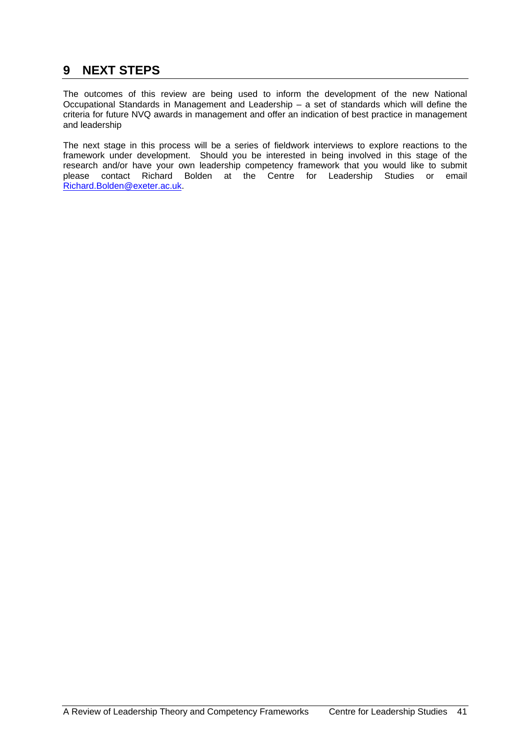# <span id="page-40-0"></span>**9 NEXT STEPS**

The outcomes of this review are being used to inform the development of the new National Occupational Standards in Management and Leadership – a set of standards which will define the criteria for future NVQ awards in management and offer an indication of best practice in management and leadership

The next stage in this process will be a series of fieldwork interviews to explore reactions to the framework under development. Should you be interested in being involved in this stage of the research and/or have your own leadership competency framework that you would like to submit please contact Richard Bolden at the Centre for Leadership Studies or email [Richard.Bolden@exeter.ac.uk.](mailto:Richard.Bolden@exeter.ac.uk)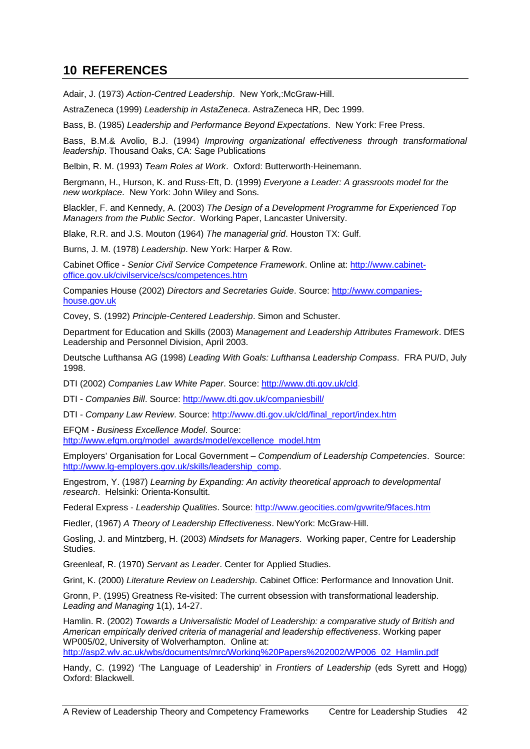# <span id="page-41-0"></span>**10 REFERENCES**

Adair, J. (1973) *Action-Centred Leadership*. New York,:McGraw-Hill.

AstraZeneca (1999) *Leadership in AstaZeneca*. AstraZeneca HR, Dec 1999.

Bass, B. (1985) *Leadership and Performance Beyond Expectations*. New York: Free Press.

Bass, B.M.& Avolio, B.J. (1994) *Improving organizational effectiveness through transformational leadership*. Thousand Oaks, CA: Sage Publications

Belbin, R. M. (1993) *Team Roles at Work*. Oxford: Butterworth-Heinemann.

Bergmann, H., Hurson, K. and Russ-Eft, D. (1999) *Everyone a Leader: A grassroots model for the new workplace*. New York: John Wiley and Sons.

Blackler, F. and Kennedy, A. (2003) *The Design of a Development Programme for Experienced Top Managers from the Public Sector*. Working Paper, Lancaster University.

Blake, R.R. and J.S. Mouton (1964) *The managerial grid*. Houston TX: Gulf.

Burns, J. M. (1978) *Leadership*. New York: Harper & Row.

Cabinet Office - *Senior Civil Service Competence Framework*. Online at: [http://www.cabinet](http://www.cabinet-office.gov.uk/civilservice/scs/competences.htm)[office.gov.uk/civilservice/scs/competences.htm](http://www.cabinet-office.gov.uk/civilservice/scs/competences.htm) 

Companies House (2002) *Directors and Secretaries Guide*. Source: [http://www.companies](http://www.companies-house.gov.uk/)[house.gov.uk](http://www.companies-house.gov.uk/)

Covey, S. (1992) *Principle-Centered Leadership*. Simon and Schuster.

Department for Education and Skills (2003) *Management and Leadership Attributes Framework*. DfES Leadership and Personnel Division, April 2003.

Deutsche Lufthansa AG (1998) *Leading With Goals: Lufthansa Leadership Compass*. FRA PU/D, July 1998.

DTI (2002) *Companies Law White Paper*. Source: [http://www.dti.gov.uk/cld.](http://www.dti.gov.uk/cld)

DTI - *Companies Bill*. Source:<http://www.dti.gov.uk/companiesbill/>

DTI - *Company Law Review*. Source: [http://www.dti.gov.uk/cld/final\\_report/index.htm](http://www.dti.gov.uk/cld/final_report/index.htm)

EFQM - *Business Excellence Model*. Source: [http://www.efqm.org/model\\_awards/model/excellence\\_model.htm](http://www.efqm.org/model_awards/model/excellence_model.htm) 

Employers' Organisation for Local Government – *Compendium of Leadership Competencies*. Source: [http://www.lg-employers.gov.uk/skills/leadership\\_comp](http://www.lg-employers.gov.uk/skills/leadership_comp).

Engestrom, Y. (1987) *Learning by Expanding: An activity theoretical approach to developmental research*. Helsinki: Orienta-Konsultit.

Federal Express - *Leadership Qualities*. Source: <http://www.geocities.com/gvwrite/9faces.htm>

Fiedler, (1967) *A Theory of Leadership Effectiveness*. NewYork: McGraw-Hill.

Gosling, J. and Mintzberg, H. (2003) *Mindsets for Managers*. Working paper, Centre for Leadership Studies.

Greenleaf, R. (1970) *Servant as Leader*. Center for Applied Studies.

Grint, K. (2000) *Literature Review on Leadership*. Cabinet Office: Performance and Innovation Unit.

Gronn, P. (1995) Greatness Re-visited: The current obsession with transformational leadership. *Leading and Managing* 1(1), 14-27.

Hamlin. R. (2002) *Towards a Universalistic Model of Leadership: a comparative study of British and American empirically derived criteria of managerial and leadership effectiveness*. Working paper WP005/02, University of Wolverhampton. Online at:

[http://asp2.wlv.ac.uk/wbs/documents/mrc/Working%20Papers%202002/WP006\\_02\\_Hamlin.pdf](http://asp2.wlv.ac.uk/wbs/documents/mrc/Working Papers 2002/WP006_02_Hamlin.pdf)

Handy, C. (1992) 'The Language of Leadership' in *Frontiers of Leadership* (eds Syrett and Hogg) Oxford: Blackwell.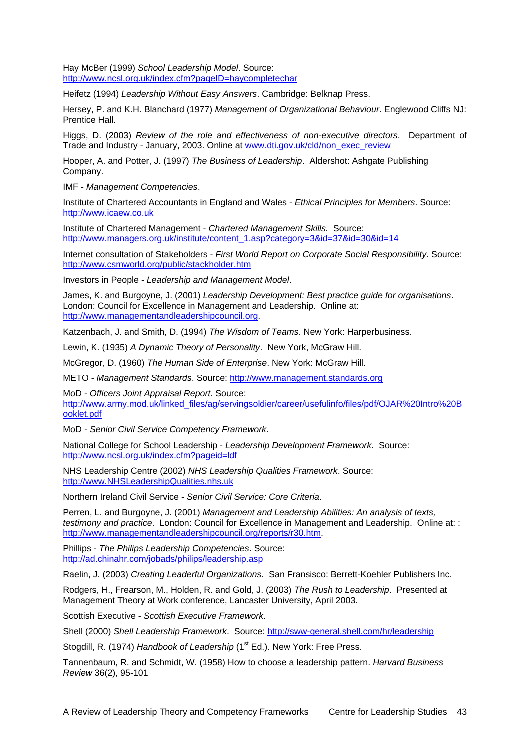Hay McBer (1999) *School Leadership Model*. Source: <http://www.ncsl.org.uk/index.cfm?pageID=haycompletechar>

Heifetz (1994) *Leadership Without Easy Answers*. Cambridge: Belknap Press.

Hersey, P. and K.H. Blanchard (1977) *Management of Organizational Behaviour*. Englewood Cliffs NJ: Prentice Hall.

Higgs, D. (2003) *Review of the role and effectiveness of non-executive directors*. Department of Trade and Industry - January, 2003. Online at [www.dti.gov.uk/cld/non\\_exec\\_review](http://www.dti.gov.uk/cld/non_exec_review) 

Hooper, A. and Potter, J. (1997) *The Business of Leadership*. Aldershot: Ashgate Publishing Company.

IMF - *Management Competencies*.

Institute of Chartered Accountants in England and Wales - *Ethical Principles for Members*. Source: [http://www.icaew.co.uk](http://www.icaew.co.uk/)

Institute of Chartered Management - *Chartered Management Skills.* Source: [http://www.managers.org.uk/institute/content\\_1.asp?category=3&id=37&id=30&id=14](http://www.managers.org.uk/institute/content_1.asp?category=3&id=37&id=30&id=14) 

Internet consultation of Stakeholders - *First World Report on Corporate Social Responsibility*. Source: <http://www.csmworld.org/public/stackholder.htm>

Investors in People - *Leadership and Management Model*.

James, K. and Burgoyne, J. (2001) *Leadership Development: Best practice guide for organisations*. London: Council for Excellence in Management and Leadership. Online at: [http://www.managementandleadershipcouncil.org.](http://www.managementandleadershipcouncil.org/)

Katzenbach, J. and Smith, D. (1994) *The Wisdom of Teams*. New York: Harperbusiness.

Lewin, K. (1935) *A Dynamic Theory of Personality*. New York, McGraw Hill.

McGregor, D. (1960) *The Human Side of Enterprise*. New York: McGraw Hill.

METO - *Management Standards*. Source: [http://www.management.standards.org](http://www.management.standards.org/)

MoD - *Officers Joint Appraisal Report*. Source: [http://www.army.mod.uk/linked\\_files/ag/servingsoldier/career/usefulinfo/files/pdf/OJAR%20Intro%20B](http://www.army.mod.uk/linked_files/ag/servingsoldier/career/usefulinfo/files/pdf/OJAR Intro Booklet.pdf) [ooklet.pdf](http://www.army.mod.uk/linked_files/ag/servingsoldier/career/usefulinfo/files/pdf/OJAR Intro Booklet.pdf)

MoD - *Senior Civil Service Competency Framework*.

National College for School Leadership - *Leadership Development Framework*. Source: <http://www.ncsl.org.uk/index.cfm?pageid=ldf>

NHS Leadership Centre (2002) *NHS Leadership Qualities Framework*. Source: [http://www.NHSLeadershipQualities.nhs.uk](http://www.nhsleadershipqualities.nhs.uk/)

Northern Ireland Civil Service - *Senior Civil Service: Core Criteria*.

Perren, L. and Burgoyne, J. (2001) *Management and Leadership Abilities: An analysis of texts, testimony and practice*. London: Council for Excellence in Management and Leadership. Online at: : [http://www.managementandleadershipcouncil.org/reports/r30.htm.](http://www.managementandleadershipcouncil.org/reports/r30.htm)

Phillips - *The Philips Leadership Competencies*. Source: <http://ad.chinahr.com/jobads/philips/leadership.asp>

Raelin, J. (2003) *Creating Leaderful Organizations*. San Fransisco: Berrett-Koehler Publishers Inc.

Rodgers, H., Frearson, M., Holden, R. and Gold, J. (2003) *The Rush to Leadership*. Presented at Management Theory at Work conference, Lancaster University, April 2003.

Scottish Executive - *Scottish Executive Framework*.

Shell (2000) *Shell Leadership Framework*. Source:<http://sww-general.shell.com/hr/leadership>

Stogdill, R. (1974) *Handbook of Leadership* (1<sup>st</sup> Ed.). New York: Free Press.

Tannenbaum, R. and Schmidt, W. (1958) How to choose a leadership pattern. *Harvard Business Review* 36(2), 95-101